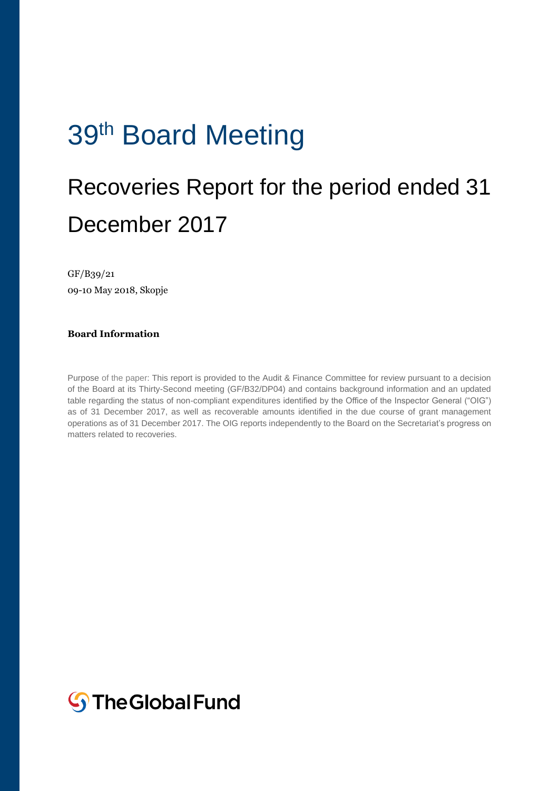# 39<sup>th</sup> Board Meeting

## Recoveries Report for the period ended 31 December 2017

GF/B39/21 09-10 May 2018, Skopje

#### **Board Information**

Purpose of the paper: This report is provided to the Audit & Finance Committee for review pursuant to a decision of the Board at its Thirty-Second meeting (GF/B32/DP04) and contains background information and an updated table regarding the status of non-compliant expenditures identified by the Office of the Inspector General ("OIG") as of 31 December 2017, as well as recoverable amounts identified in the due course of grant management operations as of 31 December 2017. The OIG reports independently to the Board on the Secretariat's progress on matters related to recoveries.

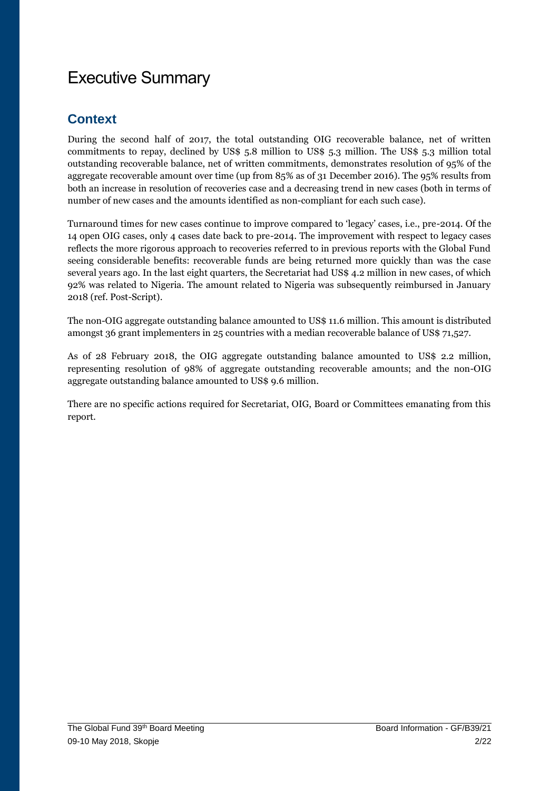## Executive Summary

### **Context**

During the second half of 2017, the total outstanding OIG recoverable balance, net of written commitments to repay, declined by US\$ 5.8 million to US\$ 5.3 million. The US\$ 5.3 million total outstanding recoverable balance, net of written commitments, demonstrates resolution of 95% of the aggregate recoverable amount over time (up from 85% as of 31 December 2016). The 95% results from both an increase in resolution of recoveries case and a decreasing trend in new cases (both in terms of number of new cases and the amounts identified as non-compliant for each such case).

Turnaround times for new cases continue to improve compared to 'legacy' cases, i.e., pre-2014. Of the 14 open OIG cases, only 4 cases date back to pre-2014. The improvement with respect to legacy cases reflects the more rigorous approach to recoveries referred to in previous reports with the Global Fund seeing considerable benefits: recoverable funds are being returned more quickly than was the case several years ago. In the last eight quarters, the Secretariat had US\$ 4.2 million in new cases, of which 92% was related to Nigeria. The amount related to Nigeria was subsequently reimbursed in January 2018 (ref. Post-Script).

The non-OIG aggregate outstanding balance amounted to US\$ 11.6 million. This amount is distributed amongst 36 grant implementers in 25 countries with a median recoverable balance of US\$ 71,527.

As of 28 February 2018, the OIG aggregate outstanding balance amounted to US\$ 2.2 million, representing resolution of 98% of aggregate outstanding recoverable amounts; and the non-OIG aggregate outstanding balance amounted to US\$ 9.6 million.

There are no specific actions required for Secretariat, OIG, Board or Committees emanating from this report.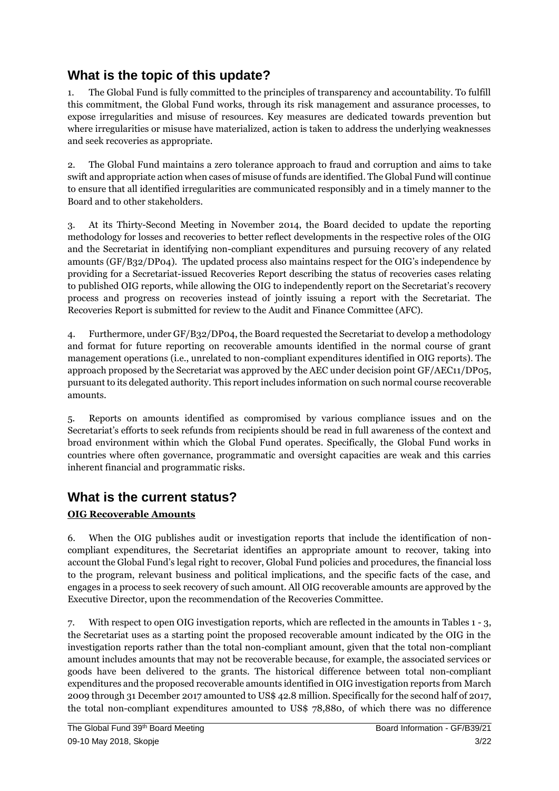## **What is the topic of this update?**

1. The Global Fund is fully committed to the principles of transparency and accountability. To fulfill this commitment, the Global Fund works, through its risk management and assurance processes, to expose irregularities and misuse of resources. Key measures are dedicated towards prevention but where irregularities or misuse have materialized, action is taken to address the underlying weaknesses and seek recoveries as appropriate.

2. The Global Fund maintains a zero tolerance approach to fraud and corruption and aims to take swift and appropriate action when cases of misuse of funds are identified. The Global Fund will continue to ensure that all identified irregularities are communicated responsibly and in a timely manner to the Board and to other stakeholders.

3. At its Thirty-Second Meeting in November 2014, the Board decided to update the reporting methodology for losses and recoveries to better reflect developments in the respective roles of the OIG and the Secretariat in identifying non-compliant expenditures and pursuing recovery of any related amounts (GF/B32/DP04). The updated process also maintains respect for the OIG's independence by providing for a Secretariat-issued Recoveries Report describing the status of recoveries cases relating to published OIG reports, while allowing the OIG to independently report on the Secretariat's recovery process and progress on recoveries instead of jointly issuing a report with the Secretariat. The Recoveries Report is submitted for review to the Audit and Finance Committee (AFC).

4. Furthermore, under GF/B32/DP04, the Board requested the Secretariat to develop a methodology and format for future reporting on recoverable amounts identified in the normal course of grant management operations (i.e., unrelated to non-compliant expenditures identified in OIG reports). The approach proposed by the Secretariat was approved by the AEC under decision point GF/AEC11/DP05, pursuant to its delegated authority. This report includes information on such normal course recoverable amounts.

5. Reports on amounts identified as compromised by various compliance issues and on the Secretariat's efforts to seek refunds from recipients should be read in full awareness of the context and broad environment within which the Global Fund operates. Specifically, the Global Fund works in countries where often governance, programmatic and oversight capacities are weak and this carries inherent financial and programmatic risks.

### **What is the current status?**

#### **OIG Recoverable Amounts**

6. When the OIG publishes audit or investigation reports that include the identification of noncompliant expenditures, the Secretariat identifies an appropriate amount to recover, taking into account the Global Fund's legal right to recover, Global Fund policies and procedures, the financial loss to the program, relevant business and political implications, and the specific facts of the case, and engages in a process to seek recovery of such amount. All OIG recoverable amounts are approved by the Executive Director, upon the recommendation of the Recoveries Committee.

7. With respect to open OIG investigation reports, which are reflected in the amounts in Tables 1 - 3, the Secretariat uses as a starting point the proposed recoverable amount indicated by the OIG in the investigation reports rather than the total non-compliant amount, given that the total non-compliant amount includes amounts that may not be recoverable because, for example, the associated services or goods have been delivered to the grants. The historical difference between total non-compliant expenditures and the proposed recoverable amounts identified in OIG investigation reports from March 2009 through 31 December 2017 amounted to US\$ 42.8 million. Specifically for the second half of 2017, the total non-compliant expenditures amounted to US\$ 78,880, of which there was no difference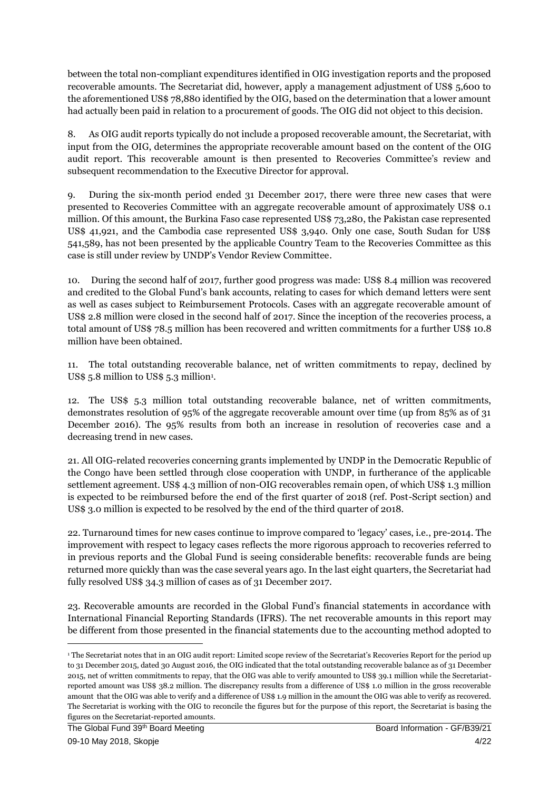between the total non-compliant expenditures identified in OIG investigation reports and the proposed recoverable amounts. The Secretariat did, however, apply a management adjustment of US\$ 5,600 to the aforementioned US\$ 78,880 identified by the OIG, based on the determination that a lower amount had actually been paid in relation to a procurement of goods. The OIG did not object to this decision.

8. As OIG audit reports typically do not include a proposed recoverable amount, the Secretariat, with input from the OIG, determines the appropriate recoverable amount based on the content of the OIG audit report. This recoverable amount is then presented to Recoveries Committee's review and subsequent recommendation to the Executive Director for approval.

9. During the six-month period ended 31 December 2017, there were three new cases that were presented to Recoveries Committee with an aggregate recoverable amount of approximately US\$ 0.1 million. Of this amount, the Burkina Faso case represented US\$ 73,280, the Pakistan case represented US\$ 41,921, and the Cambodia case represented US\$ 3,940. Only one case, South Sudan for US\$ 541,589, has not been presented by the applicable Country Team to the Recoveries Committee as this case is still under review by UNDP's Vendor Review Committee.

10. During the second half of 2017, further good progress was made: US\$ 8.4 million was recovered and credited to the Global Fund's bank accounts, relating to cases for which demand letters were sent as well as cases subject to Reimbursement Protocols. Cases with an aggregate recoverable amount of US\$ 2.8 million were closed in the second half of 2017. Since the inception of the recoveries process, a total amount of US\$ 78.5 million has been recovered and written commitments for a further US\$ 10.8 million have been obtained.

11. The total outstanding recoverable balance, net of written commitments to repay, declined by US\$  $5.8$  million to US\$  $5.3$  million<sup>1</sup>.

12. The US\$ 5.3 million total outstanding recoverable balance, net of written commitments, demonstrates resolution of 95% of the aggregate recoverable amount over time (up from 85% as of 31 December 2016). The 95% results from both an increase in resolution of recoveries case and a decreasing trend in new cases.

21. All OIG-related recoveries concerning grants implemented by UNDP in the Democratic Republic of the Congo have been settled through close cooperation with UNDP, in furtherance of the applicable settlement agreement. US\$ 4.3 million of non-OIG recoverables remain open, of which US\$ 1.3 million is expected to be reimbursed before the end of the first quarter of 2018 (ref. Post-Script section) and US\$ 3.0 million is expected to be resolved by the end of the third quarter of 2018.

22. Turnaround times for new cases continue to improve compared to 'legacy' cases, i.e., pre-2014. The improvement with respect to legacy cases reflects the more rigorous approach to recoveries referred to in previous reports and the Global Fund is seeing considerable benefits: recoverable funds are being returned more quickly than was the case several years ago. In the last eight quarters, the Secretariat had fully resolved US\$ 34.3 million of cases as of 31 December 2017.

23. Recoverable amounts are recorded in the Global Fund's financial statements in accordance with International Financial Reporting Standards (IFRS). The net recoverable amounts in this report may be different from those presented in the financial statements due to the accounting method adopted to

**.** 

<sup>1</sup> The Secretariat notes that in an OIG audit report: Limited scope review of the Secretariat's Recoveries Report for the period up to 31 December 2015, dated 30 August 2016, the OIG indicated that the total outstanding recoverable balance as of 31 December 2015, net of written commitments to repay, that the OIG was able to verify amounted to US\$ 39.1 million while the Secretariatreported amount was US\$ 38.2 million. The discrepancy results from a difference of US\$ 1.0 million in the gross recoverable amount that the OIG was able to verify and a difference of US\$ 1.9 million in the amount the OIG was able to verify as recovered. The Secretariat is working with the OIG to reconcile the figures but for the purpose of this report, the Secretariat is basing the figures on the Secretariat-reported amounts.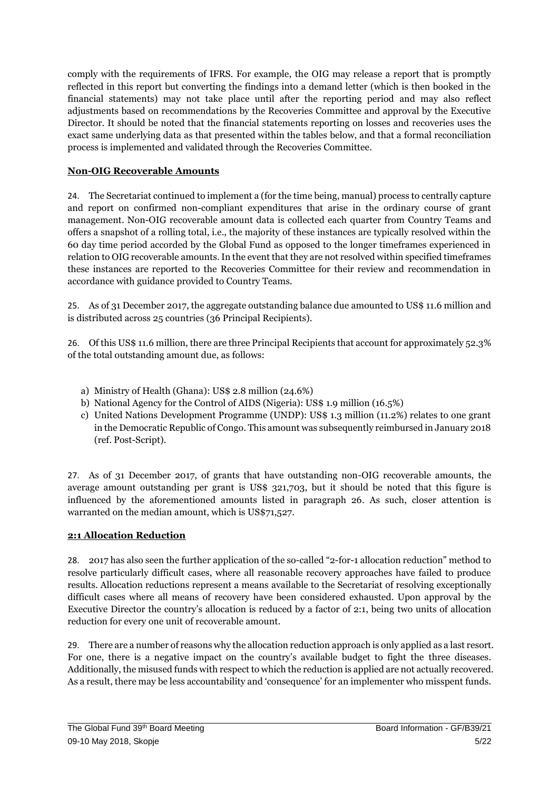comply with the requirements of IFRS. For example, the OIG may release a report that is promptly reflected in this report but converting the findings into a demand letter (which is then booked in the financial statements) may not take place until after the reporting period and may also reflect adjustments based on recommendations by the Recoveries Committee and approval by the Executive Director. It should be noted that the financial statements reporting on losses and recoveries uses the exact same underlying data as that presented within the tables below, and that a formal reconciliation process is implemented and validated through the Recoveries Committee.

#### **Non-OIG Recoverable Amounts**

24. The Secretariat continued to implement a (for the time being, manual) process to centrally capture and report on confirmed non-compliant expenditures that arise in the ordinary course of grant management. Non-OIG recoverable amount data is collected each quarter from Country Teams and offers a snapshot of a rolling total, i.e., the majority of these instances are typically resolved within the 60 day time period accorded by the Global Fund as opposed to the longer timeframes experienced in relation to OIG recoverable amounts. In the event that they are not resolved within specified timeframes these instances are reported to the Recoveries Committee for their review and recommendation in accordance with guidance provided to Country Teams.

25. As of 31 December 2017, the aggregate outstanding balance due amounted to US\$ 11.6 million and is distributed across 25 countries (36 Principal Recipients).

26. Of this US\$ 11.6 million, there are three Principal Recipients that account for approximately 52.3% of the total outstanding amount due, as follows:

- a) Ministry of Health (Ghana): US\$ 2.8 million (24.6%)
- b) National Agency for the Control of AIDS (Nigeria): US\$ 1.9 million (16.5%)
- c) United Nations Development Programme (UNDP): US\$ 1.3 million (11.2%) relates to one grant in the Democratic Republic of Congo. This amount was subsequently reimbursed in January 2018 (ref. Post-Script).

27. As of 31 December 2017, of grants that have outstanding non-OIG recoverable amounts, the average amount outstanding per grant is US\$ 321,703, but it should be noted that this figure is influenced by the aforementioned amounts listed in paragraph 26. As such, closer attention is warranted on the median amount, which is US\$71,527.

#### **2:1 Allocation Reduction**

28. 2017 has also seen the further application of the so-called "2-for-1 allocation reduction" method to resolve particularly difficult cases, where all reasonable recovery approaches have failed to produce results. Allocation reductions represent a means available to the Secretariat of resolving exceptionally difficult cases where all means of recovery have been considered exhausted. Upon approval by the Executive Director the country's allocation is reduced by a factor of 2:1, being two units of allocation reduction for every one unit of recoverable amount.

29. There are a number of reasons why the allocation reduction approach is only applied as a last resort. For one, there is a negative impact on the country's available budget to fight the three diseases. Additionally, the misused funds with respect to which the reduction is applied are not actually recovered. As a result, there may be less accountability and 'consequence' for an implementer who misspent funds.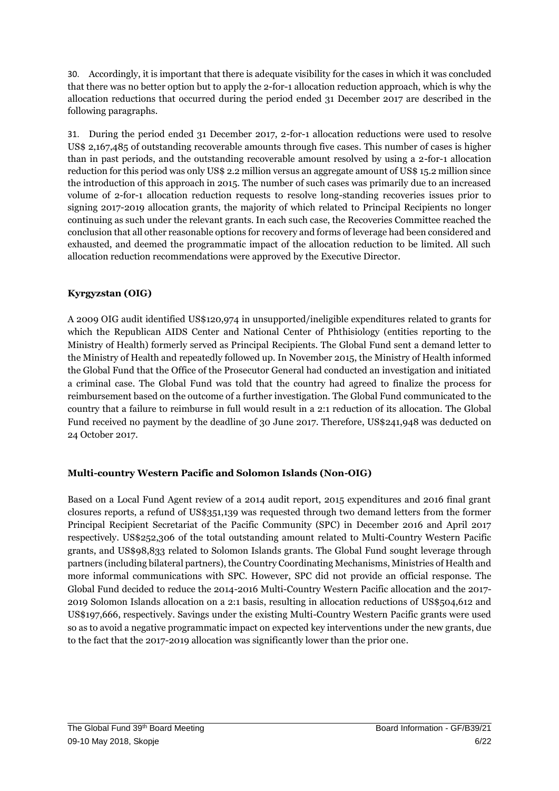30. Accordingly, it is important that there is adequate visibility for the cases in which it was concluded that there was no better option but to apply the 2-for-1 allocation reduction approach, which is why the allocation reductions that occurred during the period ended 31 December 2017 are described in the following paragraphs.

31. During the period ended 31 December 2017, 2-for-1 allocation reductions were used to resolve US\$ 2,167,485 of outstanding recoverable amounts through five cases. This number of cases is higher than in past periods, and the outstanding recoverable amount resolved by using a 2-for-1 allocation reduction for this period was only US\$ 2.2 million versus an aggregate amount of US\$ 15.2 million since the introduction of this approach in 2015. The number of such cases was primarily due to an increased volume of 2-for-1 allocation reduction requests to resolve long-standing recoveries issues prior to signing 2017-2019 allocation grants, the majority of which related to Principal Recipients no longer continuing as such under the relevant grants. In each such case, the Recoveries Committee reached the conclusion that all other reasonable options for recovery and forms of leverage had been considered and exhausted, and deemed the programmatic impact of the allocation reduction to be limited. All such allocation reduction recommendations were approved by the Executive Director.

#### **Kyrgyzstan (OIG)**

A 2009 OIG audit identified US\$120,974 in unsupported/ineligible expenditures related to grants for which the Republican AIDS Center and National Center of Phthisiology (entities reporting to the Ministry of Health) formerly served as Principal Recipients. The Global Fund sent a demand letter to the Ministry of Health and repeatedly followed up. In November 2015, the Ministry of Health informed the Global Fund that the Office of the Prosecutor General had conducted an investigation and initiated a criminal case. The Global Fund was told that the country had agreed to finalize the process for reimbursement based on the outcome of a further investigation. The Global Fund communicated to the country that a failure to reimburse in full would result in a 2:1 reduction of its allocation. The Global Fund received no payment by the deadline of 30 June 2017. Therefore, US\$241,948 was deducted on 24 October 2017.

#### **Multi-country Western Pacific and Solomon Islands (Non-OIG)**

Based on a Local Fund Agent review of a 2014 audit report, 2015 expenditures and 2016 final grant closures reports, a refund of US\$351,139 was requested through two demand letters from the former Principal Recipient Secretariat of the Pacific Community (SPC) in December 2016 and April 2017 respectively. US\$252,306 of the total outstanding amount related to Multi-Country Western Pacific grants, and US\$98,833 related to Solomon Islands grants. The Global Fund sought leverage through partners (including bilateral partners), the Country Coordinating Mechanisms, Ministries of Health and more informal communications with SPC. However, SPC did not provide an official response. The Global Fund decided to reduce the 2014-2016 Multi-Country Western Pacific allocation and the 2017- 2019 Solomon Islands allocation on a 2:1 basis, resulting in allocation reductions of US\$504,612 and US\$197,666, respectively. Savings under the existing Multi-Country Western Pacific grants were used so as to avoid a negative programmatic impact on expected key interventions under the new grants, due to the fact that the 2017-2019 allocation was significantly lower than the prior one.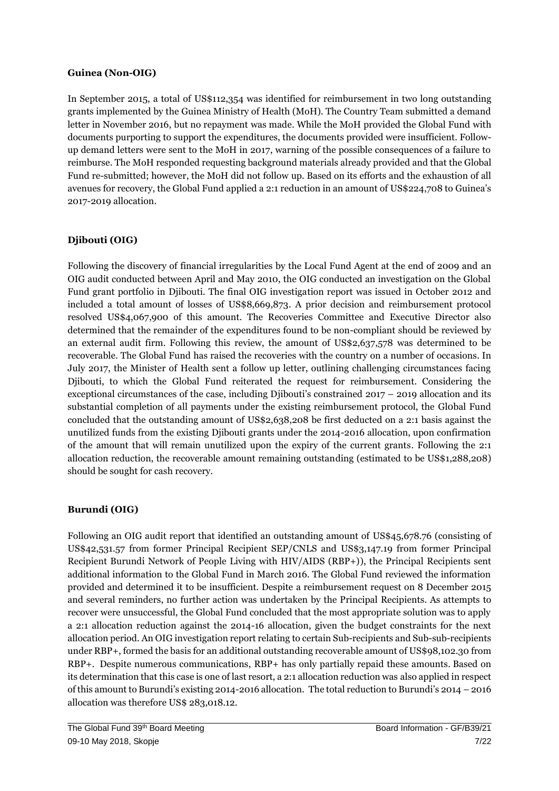#### **Guinea (Non-OIG)**

In September 2015, a total of US\$112,354 was identified for reimbursement in two long outstanding grants implemented by the Guinea Ministry of Health (MoH). The Country Team submitted a demand letter in November 2016, but no repayment was made. While the MoH provided the Global Fund with documents purporting to support the expenditures, the documents provided were insufficient. Followup demand letters were sent to the MoH in 2017, warning of the possible consequences of a failure to reimburse. The MoH responded requesting background materials already provided and that the Global Fund re-submitted; however, the MoH did not follow up. Based on its efforts and the exhaustion of all avenues for recovery, the Global Fund applied a 2:1 reduction in an amount of US\$224,708 to Guinea's 2017-2019 allocation.

#### **Djibouti (OIG)**

Following the discovery of financial irregularities by the Local Fund Agent at the end of 2009 and an OIG audit conducted between April and May 2010, the OIG conducted an investigation on the Global Fund grant portfolio in Djibouti. The final OIG investigation report was issued in October 2012 and included a total amount of losses of US\$8,669,873. A prior decision and reimbursement protocol resolved US\$4,067,900 of this amount. The Recoveries Committee and Executive Director also determined that the remainder of the expenditures found to be non-compliant should be reviewed by an external audit firm. Following this review, the amount of US\$2,637,578 was determined to be recoverable. The Global Fund has raised the recoveries with the country on a number of occasions. In July 2017, the Minister of Health sent a follow up letter, outlining challenging circumstances facing Djibouti, to which the Global Fund reiterated the request for reimbursement. Considering the exceptional circumstances of the case, including Djibouti's constrained  $2017 - 2019$  allocation and its substantial completion of all payments under the existing reimbursement protocol, the Gl0bal Fund concluded that the outstanding amount of US\$2,638,208 be first deducted on a 2:1 basis against the unutilized funds from the existing Djibouti grants under the 2014-2016 allocation, upon confirmation of the amount that will remain unutilized upon the expiry of the current grants. Following the 2:1 allocation reduction, the recoverable amount remaining outstanding (estimated to be US\$1,288,208) should be sought for cash recovery.

#### **Burundi (OIG)**

Following an OIG audit report that identified an outstanding amount of US\$45,678.76 (consisting of US\$42,531.57 from former Principal Recipient SEP/CNLS and US\$3,147.19 from former Principal Recipient Burundi Network of People Living with HIV/AIDS (RBP+)), the Principal Recipients sent additional information to the Global Fund in March 2016. The Global Fund reviewed the information provided and determined it to be insufficient. Despite a reimbursement request on 8 December 2015 and several reminders, no further action was undertaken by the Principal Recipients. As attempts to recover were unsuccessful, the Global Fund concluded that the most appropriate solution was to apply a 2:1 allocation reduction against the 2014-16 allocation, given the budget constraints for the next allocation period. An OIG investigation report relating to certain Sub-recipients and Sub-sub-recipients under RBP+, formed the basis for an additional outstanding recoverable amount of US\$98,102.30 from RBP+. Despite numerous communications, RBP+ has only partially repaid these amounts. Based on its determination that this case is one of last resort, a 2:1 allocation reduction was also applied in respect of this amount to Burundi's existing 2014-2016 allocation. The total reduction to Burundi's 2014 – 2016 allocation was therefore US\$ 283,018.12.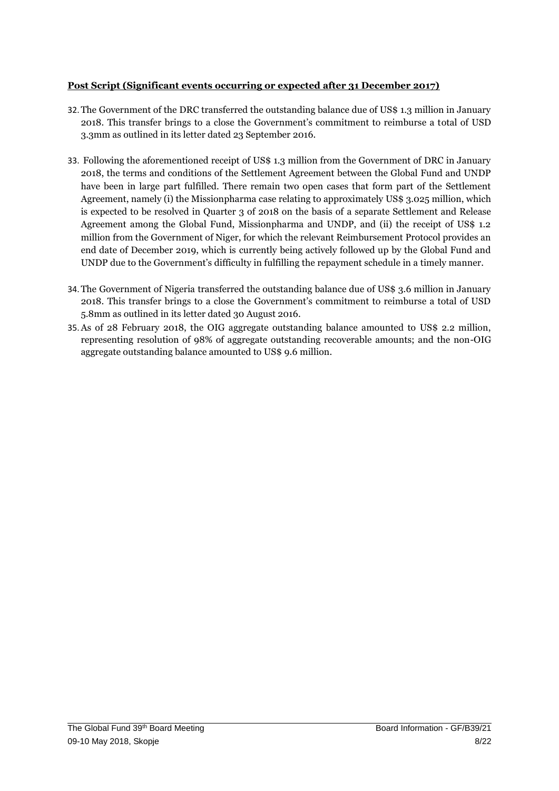#### **Post Script (Significant events occurring or expected after 31 December 2017)**

- 32. The Government of the DRC transferred the outstanding balance due of US\$ 1.3 million in January 2018. This transfer brings to a close the Government's commitment to reimburse a total of USD 3.3mm as outlined in its letter dated 23 September 2016.
- 33. Following the aforementioned receipt of US\$ 1.3 million from the Government of DRC in January 2018, the terms and conditions of the Settlement Agreement between the Global Fund and UNDP have been in large part fulfilled. There remain two open cases that form part of the Settlement Agreement, namely (i) the Missionpharma case relating to approximately US\$ 3.025 million, which is expected to be resolved in Quarter 3 of 2018 on the basis of a separate Settlement and Release Agreement among the Global Fund, Missionpharma and UNDP, and (ii) the receipt of US\$ 1.2 million from the Government of Niger, for which the relevant Reimbursement Protocol provides an end date of December 2019, which is currently being actively followed up by the Global Fund and UNDP due to the Government's difficulty in fulfilling the repayment schedule in a timely manner.
- 34. The Government of Nigeria transferred the outstanding balance due of US\$ 3.6 million in January 2018. This transfer brings to a close the Government's commitment to reimburse a total of USD 5.8mm as outlined in its letter dated 30 August 2016.
- 35.As of 28 February 2018, the OIG aggregate outstanding balance amounted to US\$ 2.2 million, representing resolution of 98% of aggregate outstanding recoverable amounts; and the non-OIG aggregate outstanding balance amounted to US\$ 9.6 million.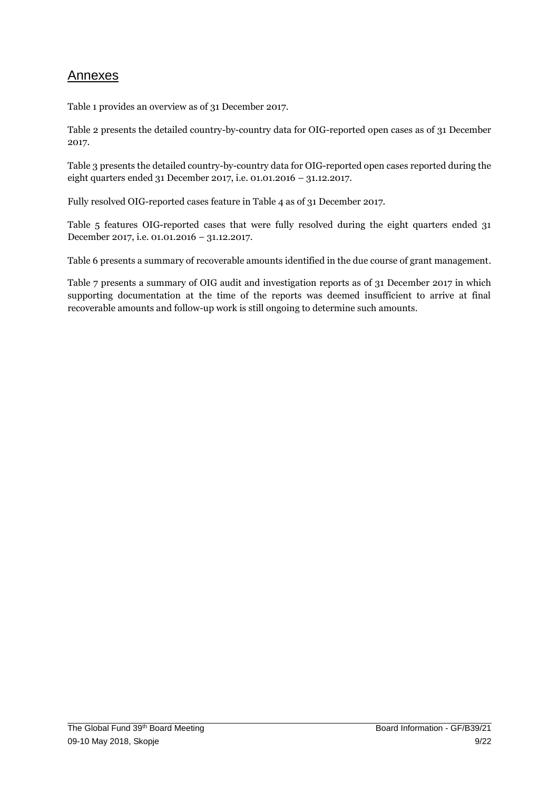## **Annexes**

Table 1 provides an overview as of 31 December 2017.

Table 2 presents the detailed country-by-country data for OIG-reported open cases as of 31 December 2017.

Table 3 presents the detailed country-by-country data for OIG-reported open cases reported during the eight quarters ended 31 December 2017, i.e. 01.01.2016 – 31.12.2017.

Fully resolved OIG-reported cases feature in Table 4 as of 31 December 2017.

Table 5 features OIG-reported cases that were fully resolved during the eight quarters ended 31 December 2017, i.e. 01.01.2016 – 31.12.2017.

Table 6 presents a summary of recoverable amounts identified in the due course of grant management.

Table 7 presents a summary of OIG audit and investigation reports as of 31 December 2017 in which supporting documentation at the time of the reports was deemed insufficient to arrive at final recoverable amounts and follow-up work is still ongoing to determine such amounts.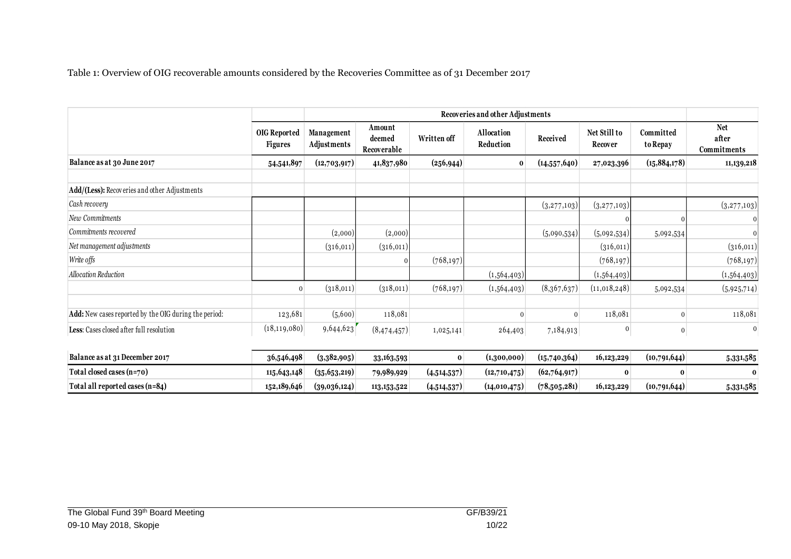Table 1: Overview of OIG recoverable amounts considered by the Recoveries Committee as of 31 December 2017

|                                                       |                                       | Recoveries and other Adjustments |                                 |             |                                |              |                                |                       |                                    |  |  |  |
|-------------------------------------------------------|---------------------------------------|----------------------------------|---------------------------------|-------------|--------------------------------|--------------|--------------------------------|-----------------------|------------------------------------|--|--|--|
|                                                       | <b>OIG Reported</b><br><b>Figures</b> | <b>Management</b><br>Adjustments | Amount<br>deemed<br>Recoverable | Written off | Allocation<br><b>Reduction</b> | Received     | Net Still to<br><b>Recover</b> | Committed<br>to Repay | <b>Net</b><br>after<br>Commitments |  |  |  |
| Balance as at 30 June 2017                            | 54,541,897                            | (12,703,917)                     | 41,837,980                      | (256, 944)  | $\bf{0}$                       | (14,557,640) | 27,023,396                     | (15,884,178)          | 11,139,218                         |  |  |  |
| Add/(Less): Recoveries and other Adjustments          |                                       |                                  |                                 |             |                                |              |                                |                       |                                    |  |  |  |
| Cash recovery                                         |                                       |                                  |                                 |             |                                | (3,277,103)  | (3,277,103)                    |                       | (3,277,103)                        |  |  |  |
| New Commitments                                       |                                       |                                  |                                 |             |                                |              |                                |                       |                                    |  |  |  |
| Commitments recovered                                 |                                       | (2,000)                          | (2,000)                         |             |                                | (5,090,534)  | (5,092,534)                    | 5,092,534             | $\mathbf{0}$                       |  |  |  |
| Net management adjustments                            |                                       | (316, 011)                       | (316, 011)                      |             |                                |              | (316,011)                      |                       | (316, 011)                         |  |  |  |
| Write offs                                            |                                       |                                  | $\mathbf 0$                     | (768, 197)  |                                |              | (768, 197)                     |                       | (768, 197)                         |  |  |  |
| Allocation Reduction                                  |                                       |                                  |                                 |             | (1,564,403)                    |              | (1,564,403)                    |                       | (1,564,403)                        |  |  |  |
|                                                       | $\Omega$                              | (318,011)                        | (318,011)                       | (768, 197)  | (1,564,403)                    | (8,367,637)  | (11,018,248)                   | 5,092,534             | (5,925,714)                        |  |  |  |
| Add: New cases reported by the OIG during the period: | 123,681                               | (5,600)                          | 118,081                         |             | $\Omega$                       | $\Omega$     | 118,081                        | $\Omega$              | 118,081                            |  |  |  |
| Less: Cases closed after full resolution              | (18, 119, 080)                        | 9,644,623                        | (8,474,457)                     | 1,025,141   | 264,403                        | 7,184,913    | 0                              | $\bf{0}$              | $\Omega$                           |  |  |  |
| Balance as at 31 December 2017                        | 36,546,498                            | (3,382,905)                      | 33,163,593                      | $\bf{0}$    | (1,300,000)                    | (15,740,364) | 16,123,229                     | (10,791,644)          | 5,331,585                          |  |  |  |
| Total closed cases (n=70)                             | 115,643,148                           | (35,653,219)                     | 79,989,929                      | (4,514,537) | (12,710,475)                   | (62,764,917) | $\bf{0}$                       | $\bf{0}$              | $\bf{0}$                           |  |  |  |
| Total all reported cases (n=84)                       | 152,189,646                           | (39,036,124)                     | 113, 153, 522                   | (4,514,537) | (14,010,475)                   | (78,505,281) | 16,123,229                     | (10,791,644)          | 5,331,585                          |  |  |  |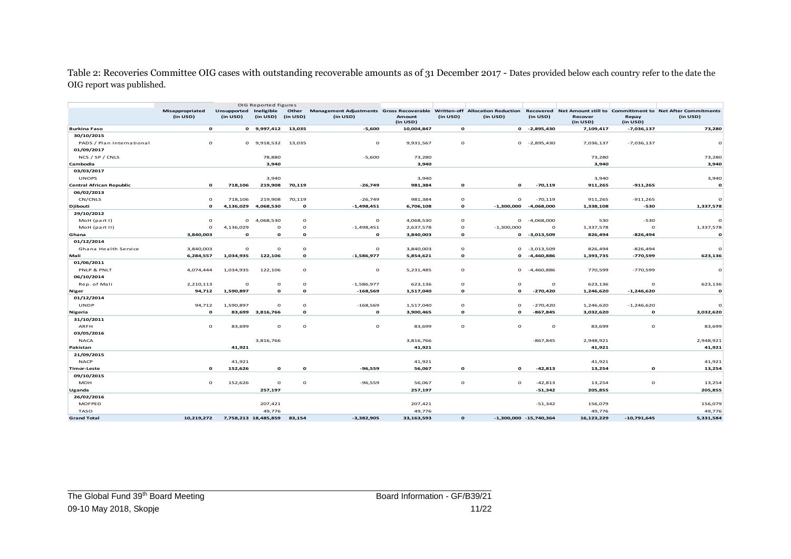Table 2: Recoveries Committee OIG cases with outstanding recoverable amounts as of 31 December 2017 - Dates provided below each country refer to the date the OIG report was published.

| Other<br>Management Adjustments Gross Recoverable Written-off Allocation Reduction<br>Misappropriated<br>Unsupported Ineligible<br>Recovered Net Amount still to Committment to Net After Commitments |              |
|-------------------------------------------------------------------------------------------------------------------------------------------------------------------------------------------------------|--------------|
| (in USD)<br>(in USD)<br>(in USD)<br>(in USD)<br>(in USD)<br>(in USD)<br>(in USD)<br>Amount<br>(in USD)<br>(in USD)<br>Recover<br>Repay<br>(in USD)<br>(in USD)<br>(in USD)                            |              |
| $\mathbf{o}$<br>$-5,600$<br><b>Burkina Faso</b><br>0 9,997,412 13,035<br>10,004,847<br>$\mathbf{o}$<br>$0 -2,895,430$<br>7,109,417<br>$-7,036,137$                                                    | 73,280       |
| 30/10/2015                                                                                                                                                                                            |              |
| $\circ$<br>$\circ$<br>$\circ$<br>PADS / Plan International<br>9,918,532<br>13,035<br>9,931,567<br>$\circ$<br>$-2,895,430$<br>7,036,137<br>$-7,036,137$<br>$\circ$                                     | $\Omega$     |
| 01/09/2017                                                                                                                                                                                            |              |
| NCS / SP / CNLS<br>78,880<br>$-5,600$<br>73,280<br>73,280                                                                                                                                             | 73,280       |
| 3,940<br>3,940<br>3,940<br>Cambodia                                                                                                                                                                   | 3,940        |
| 03/03/2017                                                                                                                                                                                            |              |
| <b>UNOPS</b><br>3,940<br>3,940<br>3,940                                                                                                                                                               | 3,940        |
| $-70,119$<br><b>Central African Republic</b><br>$\mathbf{o}$<br>718,106<br>219,908<br>70,119<br>$-26,749$<br>981,384<br>$\mathbf{o}$<br>$\Omega$<br>911,265<br>$-911,265$                             | $\mathbf{o}$ |
| 06/02/2013                                                                                                                                                                                            |              |
| CN/CNLS<br>718,106<br>70,119<br>$\circ$<br>$\mathbf{o}$<br>219,908<br>$-26,749$<br>981,384<br>$\Omega$<br>$-70,119$<br>911,265<br>$-911,265$                                                          | $\circ$      |
| $\mathbf{o}$<br>4,136,029<br>4,068,530<br>$\mathbf{o}$<br>$-1,498,451$<br>6,706,108<br>$\mathbf{o}$<br>$-1,300,000$<br>1,338,108<br>$-530$<br><b>Djibouti</b><br>-4,068,000                           | 1,337,578    |
| 29/10/2012                                                                                                                                                                                            |              |
| $\circ$<br>MoH (part I)<br>$\circ$<br>$\mathbf{o}$<br>4,068,530<br>$\mathbf{o}$<br>4,068,530<br>$\circ$<br>$\mathbf{o}$<br>$-4,068,000$<br>530<br>$-530$                                              | $\Omega$     |
| $\mathbf{o}$<br>4,136,029<br>$\Omega$<br>$\mathbf{o}$<br>$-1,498,451$<br>2,637,578<br>$\mathbf{o}$<br>$-1,300,000$<br>1,337,578<br>MoH (part II)<br>$\mathbf{o}$<br>$\Omega$                          | 1,337,578    |
| 3,840,003<br>$\mathbf{o}$<br>$\mathbf{o}$<br>$\mathbf{o}$<br>$\mathbf{o}$<br>3,840,003<br>$0 - 3,013,509$<br>Ghana<br>$\mathbf{o}$<br>826,494<br>$-826,494$                                           | $\mathbf{o}$ |
| 01/12/2014                                                                                                                                                                                            |              |
| $\mathbf 0$<br>$\circ$<br>$\circ$<br>3,840,003<br>$\mathbf{o}$<br>3,840,003<br>$\mathbf{o}$<br>$-3,013,509$<br>Ghana Health Service<br>$\mathbf{o}$<br>826,494<br>$-826,494$                          | $\Omega$     |
| 1,034,935<br>122,106<br>$\mathbf{o}$<br>$-1,586,977$<br>$\mathbf{o}$<br>$-770,599$<br>Mali<br>6,284,557<br>5,854,621<br>$\mathbf{o}$<br>-4,460,886<br>1,393,735                                       | 623,136      |
| 01/06/2011                                                                                                                                                                                            |              |
| PNLP & PNLT<br>$\circ$<br>$\circ$<br>$-770,599$<br>4,074,444<br>1,034,935<br>122,106<br>$\mathbf{o}$<br>5,231,485<br>$\mathbf{o}$<br>$-4,460,886$<br>770,599                                          | $\circ$      |
| 06/10/2014                                                                                                                                                                                            |              |
| $\mathbf{o}$<br>$\Omega$<br>$\mathbf{o}$<br>623,136<br>Rep. of Mali<br>2,210,113<br>$\Omega$<br>$-1,586,977$<br>623,136<br>$\Omega$<br>$\Omega$<br>$\Omega$                                           | 623,136      |
| $-168,569$<br>1,517,040<br>$-270,420$<br>94,712<br>1,590,897<br>$\mathbf{o}$<br>$\mathbf{o}$<br>$\mathbf{o}$<br>$\mathbf{o}$<br>1,246,620<br>$-1,246,620$<br>Niger                                    | $\mathbf{o}$ |
| 01/12/2014                                                                                                                                                                                            |              |
| <b>UNDP</b><br>$\Omega$<br>$-168,569$<br>$\circ$<br>94,712<br>1,590,897<br>$\Omega$<br>1,517,040<br>$\Omega$<br>$-270,420$<br>1,246,620<br>$-1,246,620$                                               |              |
| <b>Nigeria</b><br>$\mathbf{o}$<br>83,699 3,816,766<br>$\mathbf{o}$<br>$\mathbf{o}$<br>3,900,465<br>$\mathbf{o}$<br>$\mathbf{o}$<br>$-867,845$<br>3,032,620<br>$\mathbf{o}$                            | 3,032,620    |
| 31/10/2011                                                                                                                                                                                            |              |
| ARFH<br>$\circ$<br>83,699<br>$\Omega$<br>$\circ$<br>$\circ$<br>83,699<br>$\circ$<br>$\Omega$<br>$\mathbf{o}$<br>$\circ$<br>83,699                                                                     | 83,699       |
| 03/05/2016                                                                                                                                                                                            |              |
| <b>NACA</b><br>3,816,766<br>3,816,766<br>$-867,845$<br>2,948,921                                                                                                                                      | 2,948,921    |
| 41,921<br>41,921<br>41,921<br>Pakistan                                                                                                                                                                | 41,921       |
| 21/09/2015                                                                                                                                                                                            |              |
| <b>NACP</b><br>41,921<br>41,921<br>41,921                                                                                                                                                             | 41,921       |
| $\mathbf{o}$<br>152,626<br>$\mathbf{o}$<br>$-96,559$<br>56,067<br>$\mathbf{o}$<br>$\Omega$<br>$-42,813$<br>13,254<br>$\mathbf{o}$<br><b>Timor-Leste</b><br>$\mathbf{o}$                               | 13,254       |
| 09/10/2015                                                                                                                                                                                            |              |
| <b>MOH</b><br>$\circ$<br>$\mathbf{o}$<br>$\mathbf{o}$<br>152,626<br>$\circ$<br>$-96,559$<br>56,067<br>$\mathbf{o}$<br>$\Omega$<br>$-42,813$<br>13,254                                                 | 13,254       |
| 257,197<br>257,197<br>$-51,342$<br>Uganda<br>205,855                                                                                                                                                  | 205,855      |
| 26/02/2016                                                                                                                                                                                            |              |
| <b>MOFPED</b><br>207,421<br>207,421<br>$-51,342$<br>156,079                                                                                                                                           | 156,079      |
| 49,776<br>49,776<br>TASO<br>49,776                                                                                                                                                                    | 49,776       |
| 10,219,272<br>7,758,213 18,485,859<br>$-3,382,905$<br>33,163,593<br>16,123,229<br>$-10,791,645$<br><b>Grand Total</b><br>83.154<br>$\mathbf{o}$<br>$-1,300,000 -15,740,364$                           | 5,331,584    |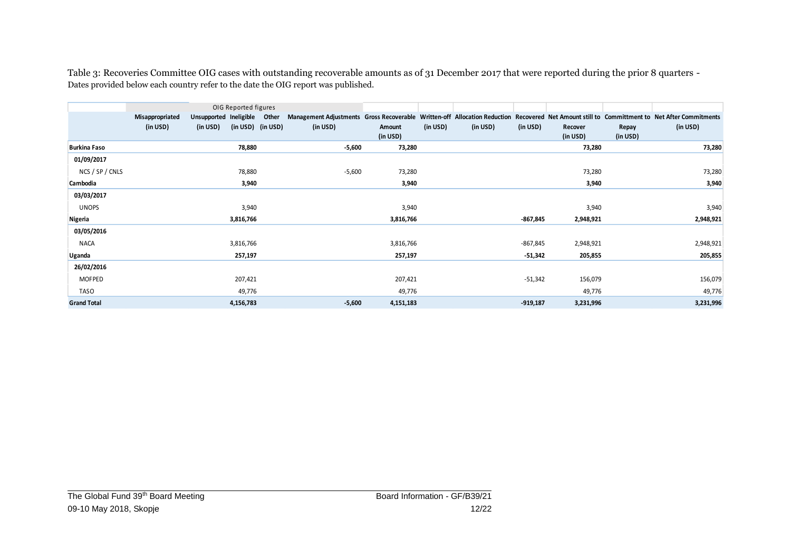Table 3: Recoveries Committee OIG cases with outstanding recoverable amounts as of 31 December 2017 that were reported during the prior 8 quarters - Dates provided below each country refer to the date the OIG report was published.

|                     |                             |                                          | OIG Reported figures |                                                                                                                                                          |                    |          |          |            |                     |                   |           |
|---------------------|-----------------------------|------------------------------------------|----------------------|----------------------------------------------------------------------------------------------------------------------------------------------------------|--------------------|----------|----------|------------|---------------------|-------------------|-----------|
|                     | Misappropriated<br>(in USD) | Unsupported Ineligible Other<br>(in USD) | (in USD) (in USD)    | Management Adjustments Gross Recoverable Written-off Allocation Reduction Recovered Net Amount still to Committment to Net After Commitments<br>(in USD) | Amount<br>(in USD) | (in USD) | (in USD) | (in USD)   | Recover<br>(in USD) | Repay<br>(in USD) | (in USD)  |
| <b>Burkina Faso</b> |                             |                                          | 78,880               | $-5,600$                                                                                                                                                 | 73,280             |          |          |            | 73,280              |                   | 73,280    |
| 01/09/2017          |                             |                                          |                      |                                                                                                                                                          |                    |          |          |            |                     |                   |           |
| NCS / SP / CNLS     |                             |                                          | 78,880               | $-5,600$                                                                                                                                                 | 73,280             |          |          |            | 73,280              |                   | 73,280    |
| Cambodia            |                             |                                          | 3,940                |                                                                                                                                                          | 3,940              |          |          |            | 3,940               |                   | 3,940     |
| 03/03/2017          |                             |                                          |                      |                                                                                                                                                          |                    |          |          |            |                     |                   |           |
| <b>UNOPS</b>        |                             |                                          | 3,940                |                                                                                                                                                          | 3,940              |          |          |            | 3,940               |                   | 3,940     |
| Nigeria             |                             |                                          | 3,816,766            |                                                                                                                                                          | 3,816,766          |          |          | -867,845   | 2,948,921           |                   | 2,948,921 |
| 03/05/2016          |                             |                                          |                      |                                                                                                                                                          |                    |          |          |            |                     |                   |           |
| <b>NACA</b>         |                             |                                          | 3,816,766            |                                                                                                                                                          | 3,816,766          |          |          | $-867,845$ | 2,948,921           |                   | 2,948,921 |
| Uganda              |                             |                                          | 257,197              |                                                                                                                                                          | 257,197            |          |          | $-51,342$  | 205,855             |                   | 205,855   |
| 26/02/2016          |                             |                                          |                      |                                                                                                                                                          |                    |          |          |            |                     |                   |           |
| MOFPED              |                             |                                          | 207,421              |                                                                                                                                                          | 207,421            |          |          | $-51,342$  | 156,079             |                   | 156,079   |
| TASO                |                             |                                          | 49,776               |                                                                                                                                                          | 49,776             |          |          |            | 49,776              |                   | 49,776    |
| <b>Grand Total</b>  |                             |                                          | 4,156,783            | $-5,600$                                                                                                                                                 | 4,151,183          |          |          | $-919,187$ | 3,231,996           |                   | 3,231,996 |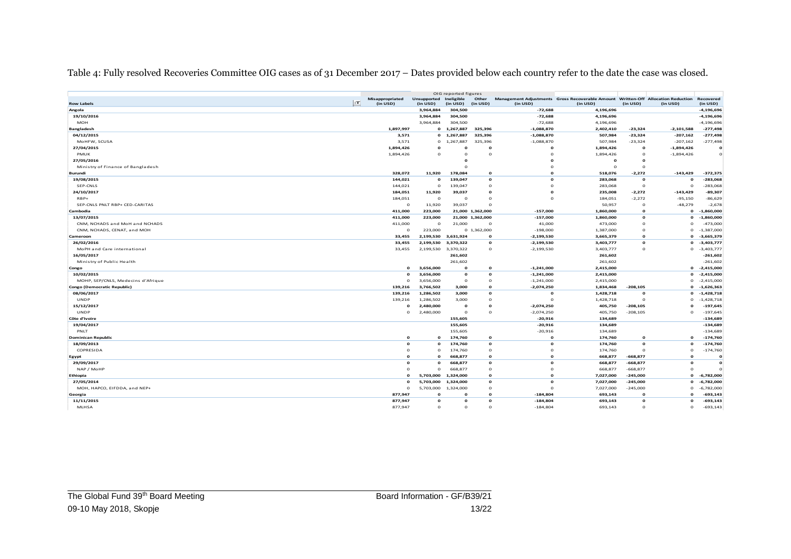Table 4: Fully resolved Recoveries Committee OIG cases as of 31 December 2017 – Dates provided below each country refer to the date the case was closed.

|                                    |    |                   |                        | OIG reported figures |                             |                            |                                                                                  |              |              |                |
|------------------------------------|----|-------------------|------------------------|----------------------|-----------------------------|----------------------------|----------------------------------------------------------------------------------|--------------|--------------|----------------|
|                                    |    | Misappropriated   | Unsupported Ineligible |                      | Other                       |                            | Management Adjustments Gross Recoverable Amount Written-Off Allocation Reduction |              |              | Recovered      |
| <b>Row Labels</b>                  | TT | (in USD)          | (in USD)               | (in USD)             | (in USD)                    | (in USD)                   | (in USD)                                                                         | (in USD)     | (in USD)     | (in USD)       |
| Angola                             |    |                   | 3,964,884              | 304,500              |                             | $-72,688$                  | 4,196,696                                                                        |              |              | $-4,196,696$   |
| 19/10/2016                         |    |                   | 3,964,884              | 304,500              |                             | $-72,688$                  | 4,196,696                                                                        |              |              | -4,196,696     |
| <b>MOH</b>                         |    |                   | 3,964,884              | 304,500              |                             | $-72,688$                  | 4,196,696                                                                        |              |              | $-4, 196, 696$ |
| <b>Bangladesh</b>                  |    | 1,897,997         |                        | 0 1,267,887          | 325,396                     | $-1,088,870$               | 2,402,410                                                                        | $-23,324$    | $-2,101,588$ | $-277,498$     |
| 04/12/2015                         |    | 3,571             | $\Omega$               | 1,267,887            | 325,396                     | $-1,088,870$               | 507,984                                                                          | $-23,324$    | $-207,162$   | $-277,498$     |
| MoHFW, SCUSA                       |    | 3,571             | $\circ$                | 1,267,887            | 325,396                     | $-1,088,870$               | 507,984                                                                          | $-23,324$    | $-207,162$   | $-277,498$     |
| 27/04/2015                         |    | 1,894,426         | $\Omega$               | o                    | $\Omega$                    | $\Omega$                   | 1,894,426                                                                        | O            | $-1,894,426$ | $\mathbf{o}$   |
| <b>PMUK</b>                        |    | 1,894,426         | $\circ$                | $\Omega$             | $\circ$                     | $\Omega$                   | 1,894,426                                                                        | $\circ$      | $-1,894,426$ | $\mathbf{o}$   |
| 27/05/2016                         |    |                   |                        |                      |                             |                            | $\mathbf{o}$                                                                     | $\Omega$     |              |                |
| Ministry of Finance of Bangladesh  |    |                   |                        |                      |                             | $\Omega$                   | $\circ$                                                                          | $\circ$      |              |                |
| Burundi                            |    | 328,072           | 11,920                 | 178,084              | $\mathbf{o}$                | $\Omega$                   | 518,076                                                                          | $-2,272$     | $-143,429$   | $-372,375$     |
| 19/08/2015                         |    | 144,021           | $\mathbf{o}$           | 139,047              | $\mathbf{o}$                | $\Omega$                   | 283,068                                                                          | $\mathbf{o}$ | $\mathbf{o}$ | $-283,068$     |
| SEP-CNLS                           |    | 144,021           | $\circ$                | 139,047              | $\Omega$                    | $\Omega$                   | 283,068                                                                          | $\circ$      | $\circ$      | $-283,068$     |
| 24/10/2017                         |    | 184,051           | 11,920                 | 39,037               | $\mathbf{o}$                | $\Omega$                   | 235,008                                                                          | $-2,272$     | $-143,429$   | $-89,307$      |
| $RBP+$                             |    | 184,051           | $\circ$                | $\circ$              | $\Omega$                    | $\Omega$                   | 184,051                                                                          | $-2,272$     | $-95,150$    | $-86,629$      |
| SEP-CNLS PNLT RBP+ CED-CARITAS     |    | $\circ$           | 11,920                 | 39,037               | $\Omega$                    |                            | 50,957                                                                           | $\Omega$     | $-48,279$    | $-2,678$       |
| Cambodia                           |    | 411,000           | 223,000                |                      | 21,000 1,362,000            | $-157,000$                 | 1,860,000                                                                        | $\mathbf{o}$ | $\mathbf{o}$ | $-1,860,000$   |
| 13/07/2015                         |    | 411,000           | 223,000                |                      | 21,000 1,362,000            | $-157,000$                 | 1,860,000                                                                        | $\mathbf{o}$ | $\mathbf{o}$ | $-1,860,000$   |
| CNM, NCHADS and MoH and NCHADS     |    | 411,000           | $\circ$                | 21,000               | $\circ$                     | 41,000                     | 473,000                                                                          | $\circ$      | $\circ$      | $-473,000$     |
|                                    |    |                   | 223,000                |                      |                             |                            |                                                                                  | $\circ$      | $\circ$      | $-1,387,000$   |
| CNM, NCHADS, CENAT, and MOH        |    | $\circ$<br>33,455 |                        | 2,199,530 3,631,924  | 0 1,362,000<br>$\mathbf{o}$ | $-198,000$<br>$-2,199,530$ | 1,387,000<br>3,665,379                                                           | $\mathbf{o}$ | $\Omega$     | $-3,665,379$   |
| Cameroon                           |    |                   |                        |                      |                             |                            |                                                                                  | $\Omega$     | $\Omega$     |                |
| 26/02/2016                         |    | 33,455            | 2,199,530              | 3,370,322            | $\mathbf{o}$                | $-2,199,530$               | 3,403,777                                                                        |              |              | $-3,403,777$   |
| MoPH and Care international        |    | 33,455            |                        | 2,199,530 3,370,322  | $\circ$                     | $-2,199,530$               | 3,403,777                                                                        | $\circ$      | $\circ$      | $-3,403,777$   |
| 16/05/2017                         |    |                   |                        | 261,602              |                             |                            | 261,602                                                                          |              |              | $-261,602$     |
| Ministry of Public Health          |    |                   |                        | 261,602              |                             |                            | 261,602                                                                          |              |              | $-261,602$     |
| Congo                              |    | $\mathbf{o}$      | 3,656,000              | $\Omega$             | $\mathbf{o}$                | $-1,241,000$               | 2,415,000                                                                        |              | $\mathbf{o}$ | $-2,415,000$   |
| 10/02/2015                         |    | $\Omega$          | 3,656,000              | $\mathbf{o}$         | $\mathbf{o}$                | $-1,241,000$               | 2,415,000                                                                        |              | $\mathbf{o}$ | $-2,415,000$   |
| MOHP, SEP/CNLS, Medecins d'Afrique |    | $\circ$           | 3,656,000              | $\circ$              | $\mathbf 0$                 | $-1,241,000$               | 2,415,000                                                                        |              | $\circ$      | $-2,415,000$   |
| Congo (Democratic Republic)        |    | 139,216           | 3,766,502              | 3,000                | $\mathbf{o}$                | $-2,074,250$               | 1,834,468                                                                        | $-208,105$   | $\mathbf{o}$ | $-1,626,363$   |
| 08/06/2017                         |    | 139,216           | 1,286,502              | 3,000                | $\mathbf{o}$                | $\mathbf{o}$               | 1,428,718                                                                        | $\mathbf{o}$ | $\mathbf{o}$ | $-1,428,718$   |
| <b>UNDP</b>                        |    | 139,216           | 1,286,502              | 3,000                | $\circ$                     | $\Omega$                   | 1,428,718                                                                        | $\circ$      | $\circ$      | $-1,428,718$   |
| 15/12/2017                         |    | $\mathbf{o}$      | 2,480,000              | $\mathbf{o}$         | $\mathbf{o}$                | $-2,074,250$               | 405,750                                                                          | $-208,105$   | $\mathbf{o}$ | $-197,645$     |
| <b>UNDP</b>                        |    | $\circ$           | 2,480,000              | $\Omega$             | $\Omega$                    | $-2,074,250$               | 405,750                                                                          | $-208,105$   | $\Omega$     | $-197,645$     |
| Côte d'Ivoire                      |    |                   |                        | 155,605              |                             | $-20,916$                  | 134,689                                                                          |              |              | $-134.689$     |
| 19/04/2017                         |    |                   |                        | 155,605              |                             | $-20,916$                  | 134,689                                                                          |              |              | $-134,689$     |
| PNLT                               |    |                   |                        | 155,605              |                             | $-20,916$                  | 134,689                                                                          |              |              | $-134,689$     |
| <b>Dominican Republic</b>          |    | $\Omega$          | $\mathbf{o}$           | 174,760              | $\mathbf{o}$                | $\mathbf{o}$               | 174,760                                                                          | $\mathbf{o}$ | $\mathbf{o}$ | $-174,760$     |
| 18/09/2013                         |    | $\Omega$          | $\Omega$               | 174,760              | $\mathbf{o}$                | $\Omega$                   | 174,760                                                                          | $\Omega$     | $\Omega$     | $-174,760$     |
| COPRESIDA                          |    | $\Omega$          | $\circ$                | 174,760              | $\circ$                     | $\Omega$                   | 174,760                                                                          | $\circ$      | $\circ$      | $-174,760$     |
| Egypt                              |    | $\Omega$          | $\Omega$               | 668,877              | $\Omega$                    | $\Omega$                   | 668,877                                                                          | $-668,877$   | $\Omega$     | $\Omega$       |
| 29/09/2017                         |    | $\Omega$          | $\Omega$               | 668,877              | $\mathbf{o}$                | $\Omega$                   | 668,877                                                                          | $-668,877$   | $\Omega$     | $\Omega$       |
| NAP / MoHP                         |    | $\Omega$          | $\Omega$               | 668,877              | $\circ$                     | $\Omega$                   | 668,877                                                                          | $-668,877$   | $\Omega$     |                |
| Ethiopia                           |    | $\mathbf{o}$      | 5,703,000              | 1,324,000            | $\mathbf{o}$                | $\mathbf{o}$               | 7,027,000                                                                        | $-245,000$   | $\mathbf{o}$ | $-6,782,000$   |
| 27/05/2014                         |    | $\Omega$          | 5,703,000              | 1,324,000            | $\mathbf{o}$                | $\Omega$                   | 7,027,000                                                                        | $-245,000$   | $\mathbf{o}$ | $-6,782,000$   |
| MOH, HAPCO, EIFDDA, and NEP+       |    | $\Omega$          | 5,703,000              | 1,324,000            | $\circ$                     | $\Omega$                   | 7,027,000                                                                        | $-245,000$   | $\Omega$     | $-6,782,000$   |
| Georgia                            |    | 877,947           | $\mathbf{o}$           | O                    | $\mathbf{o}$                | $-184,804$                 | 693,143                                                                          | $\mathbf{o}$ | $\Omega$     | $-693,143$     |
| 11/11/2015                         |    | 877,947           | $\Omega$               | $\Omega$             | $\mathbf{o}$                | $-184,804$                 | 693,143                                                                          | $\mathbf{o}$ | $\Omega$     | $-693,143$     |
| MLHSA                              |    | 877.947           | $\Omega$               | $\Omega$             | $\Omega$                    | $-184,804$                 | 693,143                                                                          | $\Omega$     | $\Omega$     | $-693, 143$    |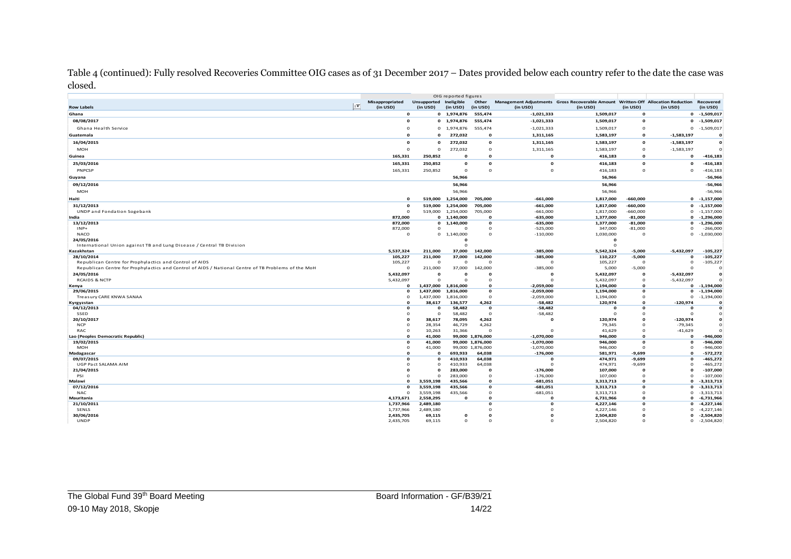Table 4 (continued): Fully resolved Recoveries Committee OIG cases as of 31 December 2017 – Dates provided below each country refer to the date the case was closed.

|                                                                                                     |                        |                        | OIG reported figures    |                          |               |                                                                                  |                          |                        |                              |
|-----------------------------------------------------------------------------------------------------|------------------------|------------------------|-------------------------|--------------------------|---------------|----------------------------------------------------------------------------------|--------------------------|------------------------|------------------------------|
|                                                                                                     | Misappropriated        | Unsupported Ineligible |                         | Other                    |               | Management Adjustments Gross Recoverable Amount Written-Off Allocation Reduction |                          |                        | Recovered                    |
| <b>Row Labels</b>                                                                                   | <b>TT</b><br>(in USD)  | (in USD)               | (in USD)                | (in USD)                 | (in USD)      | (in USD)                                                                         | (in USD)                 | (in USD)               | (in USD)                     |
| Ghana                                                                                               | $\Omega$               |                        | 0 1,974,876             | 555,474                  | $-1,021,333$  | 1,509,017                                                                        | $\mathbf{o}$             |                        | $0 -1,509,017$               |
| 08/08/2017                                                                                          | $\Omega$               |                        | 0 1,974,876             | 555,474                  | $-1,021,333$  | 1,509,017                                                                        | $\mathbf{o}$             | $\mathbf{o}$           | $-1,509,017$                 |
| Ghana Health Service                                                                                | $\Omega$               | $\mathbf{0}$           | 1,974,876               | 555,474                  | $-1,021,333$  | 1,509,017                                                                        | $\Omega$                 | $\mathbf{O}$           | $-1,509,017$                 |
|                                                                                                     | $\Omega$               | $\Omega$               | 272,032                 | $\mathbf{o}$             |               | 1,583,197                                                                        | $\Omega$                 | $-1,583,197$           | $\mathbf{o}$                 |
| Guatemala                                                                                           |                        |                        |                         |                          | 1,311,165     |                                                                                  |                          |                        |                              |
| 16/04/2015                                                                                          | $\Omega$               | $\Omega$               | 272,032                 | $\mathbf{o}$             | 1,311,165     | 1,583,197                                                                        | $\Omega$                 | $-1,583,197$           | $\mathbf{o}$                 |
| MOH                                                                                                 | $\Omega$               | $\circ$                | 272,032                 | $\mathbf{O}$             | 1,311,165     | 1,583,197                                                                        | $\Omega$                 | $-1,583,197$           | $\Omega$                     |
| Guinea                                                                                              | 165,331                | 250,852                | $\Omega$                | $\Omega$                 | $\Omega$      | 416,183                                                                          | $\Omega$                 | $\Omega$               | $-416, 183$                  |
| 25/03/2016                                                                                          | 165,331                | 250,852                | $\Omega$                | $\mathbf{o}$             | $\Omega$      | 416,183                                                                          | $\Omega$                 | $\Omega$               | $-416, 183$                  |
| PNPCSP                                                                                              | 165,331                | 250,852                | $\mathbf 0$             | $\Omega$                 | $\mathbf 0$   | 416,183                                                                          | $\circ$                  | $\mathbf 0$            | $-416,183$                   |
| Guyana                                                                                              |                        |                        | 56,966                  |                          |               | 56,966                                                                           |                          |                        | $-56,966$                    |
| 09/12/2016                                                                                          |                        |                        | 56,966                  |                          |               | 56,966                                                                           |                          |                        | $-56,966$                    |
|                                                                                                     |                        |                        |                         |                          |               |                                                                                  |                          |                        |                              |
| <b>MOH</b>                                                                                          |                        |                        | 56,966                  |                          |               | 56,966                                                                           |                          |                        | $-56,966$                    |
| Haiti                                                                                               | $\Omega$               | 519,000                | 1,254,000               | 705,000                  | $-661,000$    | 1,817,000                                                                        | $-660,000$               | $\mathbf{o}$           | $-1,157,000$                 |
| 31/12/2013                                                                                          | $\Omega$               | 519,000                | 1,254,000               | 705,000                  | $-661,000$    | 1,817,000                                                                        | $-660,000$               | $\Omega$               | $-1,157,000$                 |
| <b>UNDP</b> and Fondation Sogebank                                                                  | $\Omega$               | 519,000                | 1,254,000               | 705,000                  | $-661,000$    | 1,817,000                                                                        | $-660,000$               | $\Omega$               | $-1,157,000$                 |
| India                                                                                               | 872,000                |                        | 0 1,140,000             | $\mathbf{o}$             | $-635,000$    | 1,377,000                                                                        | $-81,000$                | $\mathbf{o}$           | $-1,296,000$                 |
| 13/12/2013                                                                                          | 872,000                | $\mathbf{0}$           | 1,140,000               | $\mathbf{o}$             | $-635,000$    | 1,377,000                                                                        | $-81,000$                | $\Omega$               | $-1,296,000$                 |
| $1NP+$                                                                                              | 872,000                | o                      | $\circ$                 | $\mathbf 0$              | $-525,000$    | 347,000                                                                          | $-81,000$                | $\Omega$               | $-266,000$                   |
| <b>NACO</b><br>24/05/2016                                                                           | $\Omega$               | $\mathbf{O}$           | 1,140,000               | $\Omega$                 | $-110,000$    | 1,030,000                                                                        | $\Omega$                 | $\mathbf 0$            | $-1,030,000$                 |
| International Union against TB and Lung Disease / Central TB Division                               |                        |                        | $\mathbf o$<br>$\Omega$ |                          |               | $\mathbf o$<br>$\Omega$                                                          |                          |                        |                              |
| Kazakhstan                                                                                          | 5,537,324              | 211,000                | 37,000                  | 142,000                  | $-385,000$    | 5,542,324                                                                        | $-5,000$                 | $-5,432,097$           | $-105,227$                   |
| 28/10/2014                                                                                          | 105,227                | 211,000                | 37,000                  | 142,000                  | -385,000      | 110,227                                                                          | $-5,000$                 | $\mathbf o$            | $-105,227$                   |
| Republican Centre for Prophylactics and Control of AIDS                                             | 105,227                | $\Omega$               | $\circ$                 | $^{\circ}$               | $\mathbf 0$   | 105,227                                                                          | $^{\circ}$               | $\Omega$               | $-105,227$                   |
| Republican Centre for Prophylactics and Control of AIDS / National Centre of TB Problems of the MoH | $\Omega$               | 211,000                | 37,000                  | 142,000                  | $-385,000$    | 5,000                                                                            | $-5,000$                 | $\Omega$               | $\Omega$                     |
| 24/05/2016                                                                                          | 5,432,097              | $\Omega$               | $\mathbf{o}$            | $\mathbf 0$              | $\mathbf o$   | 5,432,097                                                                        | $\mathbf o$              | $-5,432,097$           | $\Omega$                     |
| <b>RCAIDS &amp; NCTP</b>                                                                            | 5,432,097              | $\Omega$               | $\Omega$                | $\Omega$                 | $\Omega$      | 5,432,097                                                                        | $\Omega$                 | $-5,432,097$           |                              |
| Kenya                                                                                               | $\Omega$               | 1,437,000              | 1,816,000               | $\Omega$                 | $-2,059,000$  | 1,194,000                                                                        | $\Omega$                 | $\Omega$               | $-1,194,000$                 |
| 29/06/2015                                                                                          | $\mathbf{o}$           | 1,437,000              | 1,816,000               | $\mathbf{o}$             | $-2,059,000$  | 1,194,000                                                                        | $\mathbf{o}$             | $\mathbf{o}$           | $-1,194,000$                 |
| Treasury CARE KNWA SANAA                                                                            | $\Omega$               | 1,437,000              | 1,816,000               | $\circ$                  | $-2,059,000$  | 1,194,000                                                                        | $\Omega$                 | $\mathbf 0$            | $-1,194,000$                 |
| Kyrgyzstan                                                                                          | $\Omega$               | 38,617                 | 136,577                 | 4,262                    | $-58,482$     | 120,974                                                                          | $\Omega$                 | $-120.974$             | $\Omega$                     |
| 04/12/2013                                                                                          | $\Omega$               | $\Omega$               | 58,482                  | $\mathbf{o}$             | $-58,482$     | $\Omega$                                                                         | o                        | $\Omega$               | $\mathbf{o}$                 |
| SSED                                                                                                | $\Omega$               | $\Omega$               | 58,482                  | $\Omega$                 | $-58,482$     | $\Omega$                                                                         | $\Omega$                 | $\Omega$               | $\Omega$                     |
| 20/10/2017<br><b>NCP</b>                                                                            | $\Omega$<br>$\Omega$   | 38,617                 | 78,095                  | 4,262                    | o             | 120,974                                                                          | $\Omega$<br>$\Omega$     | $-120,974$             | $\mathbf{o}$<br>$\Omega$     |
| RAC                                                                                                 | $\Omega$               | 28,354<br>10,263       | 46,729<br>31,366        | 4,262<br>$\Omega$        | $\Omega$      | 79,345<br>41,629                                                                 | $\Omega$                 | $-79,345$<br>$-41,629$ | $\Omega$                     |
| Lao (Peoples Democratic Republic)                                                                   | $\Omega$               | 41,000                 |                         | 99,000 1,876,000         | $-1,070,000$  | 946,000                                                                          | $\Omega$                 | $\Omega$               | $-946,000$                   |
| 19/02/2015                                                                                          | $\Omega$               | 41,000                 |                         | 99,000 1,876,000         | $-1,070,000$  | 946,000                                                                          | $\Omega$                 | $\Omega$               | $-946,000$                   |
| <b>MOH</b>                                                                                          | $\Omega$               | 41,000                 |                         | 99,000 1,876,000         | $-1,070,000$  | 946,000                                                                          | $\Omega$                 | $\Omega$               | $-946,000$                   |
| Madagascar                                                                                          | $\Omega$               | $\Omega$               | 693,933                 | 64,038                   | $-176,000$    | 581,971                                                                          | $-9,699$                 | $\Omega$               | $-572,272$                   |
| 09/07/2015                                                                                          | $\Omega$               | $\Omega$               | 410,933                 | 64,038                   | $\Omega$      | 474,971                                                                          | $-9,699$                 | $\Omega$               | $-465,272$                   |
| UGP Pact SALAMA AIM                                                                                 | $\Omega$               | $\mathbf 0$            | 410,933                 | 64,038                   | $\Omega$      | 474,971                                                                          | $-9,699$                 | $\Omega$               | $-465,272$                   |
| 21/04/2015                                                                                          | n                      | Ω                      | 283,000                 | $\mathbf{o}$             | $-176,000$    | 107,000                                                                          | O                        | o                      | $-107,000$                   |
| PSI                                                                                                 | $\Omega$               | $\Omega$               | 283,000                 | $\mathbf{o}$             | $-176,000$    | 107,000                                                                          | $\Omega$                 | $\Omega$               | $-107,000$                   |
| Malawi                                                                                              | $\Omega$               | 3,559,198              | 435,566                 | $\Omega$                 | $-681,051$    | 3,313,713                                                                        | $\Omega$                 | $\Omega$               | $-3,313,713$                 |
| 07/12/2016                                                                                          | $\Omega$               | 3,559,198              | 435,566                 | $\mathbf{o}$             | $-681,051$    | 3,313,713                                                                        | $\Omega$                 | $\Omega$               | $-3,313,713$                 |
| <b>NAC</b>                                                                                          | $\Omega$               | 3,559,198              | 435,566                 | $\Omega$                 | $-681,051$    | 3,313,713                                                                        | $\Omega$                 | $\mathbf 0$            | $-3,313,713$                 |
| Mauritania<br>21/10/2011                                                                            | 4,173,671<br>1,737,966 | 2,558,295<br>2,489,180 | $\mathbf{o}$            | $\mathbf{o}$<br>$\Omega$ | $\Omega$<br>o | 6,731,966<br>4,227,146                                                           | $\mathbf{o}$<br>$\Omega$ | $\Omega$<br>$\Omega$   | $-6,731,966$<br>$-4,227,146$ |
| SENLS                                                                                               | 1,737,966              | 2,489,180              |                         | $\Omega$                 |               | 4,227,146                                                                        | $\Omega$                 | $\Omega$               | $-4,227,146$                 |
| 30/06/2016                                                                                          | 2,435,705              | 69,115                 | $\mathbf{o}$            | $\Omega$                 | n             | 2,504,820                                                                        | o                        | $\Omega$               | $-2,504,820$                 |
| <b>UNDP</b>                                                                                         | 2,435,705              | 69,115                 | $\Omega$                | $\Omega$                 | $\Omega$      | 2,504,820                                                                        | $\Omega$                 | $\Omega$               | $-2,504,820$                 |
|                                                                                                     |                        |                        |                         |                          |               |                                                                                  |                          |                        |                              |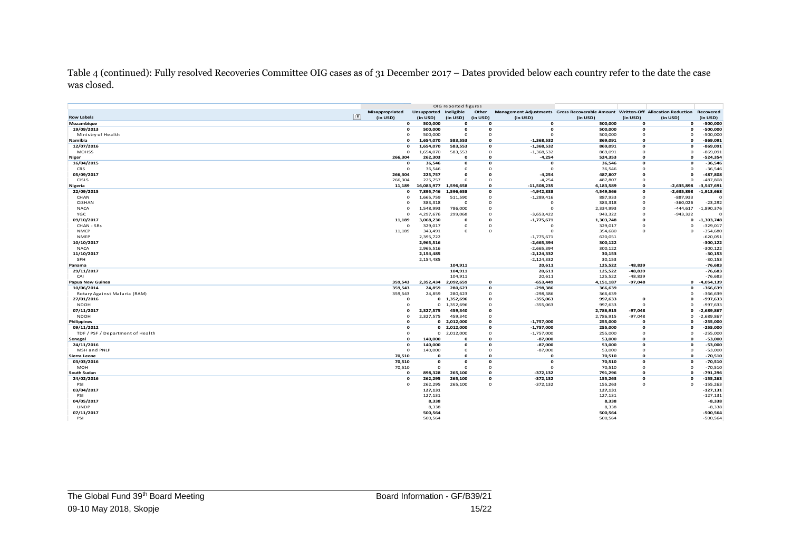Table 4 (continued): Fully resolved Recoveries Committee OIG cases as of 31 December 2017 – Dates provided below each country refer to the date the case was closed.

|                                            |                     |                        | OIG reported figures |              |                          |                                                                                  |                        |              |                          |
|--------------------------------------------|---------------------|------------------------|----------------------|--------------|--------------------------|----------------------------------------------------------------------------------|------------------------|--------------|--------------------------|
|                                            | Misappropriated     | Unsupported Ineligible |                      | Other        |                          | Management Adjustments Gross Recoverable Amount Written-Off Allocation Reduction |                        |              | Recovered                |
| <b>Row Labels</b>                          | T <br>(in USD)      | (in USD)               | (in USD)             | (in USD)     | (in USD)                 | (in USD)                                                                         | (in USD)               | (in USD)     | (in USD)                 |
| Mozambique                                 | $\mathbf{o}$        | 500,000                | $\Omega$             | $\Omega$     | $\Omega$                 | 500,000                                                                          | $\Omega$               | $\mathbf{o}$ | $-500,000$               |
| 19/09/2013                                 | $\Omega$            | 500,000                | $\Omega$             | $\Omega$     | $\Omega$                 | 500,000                                                                          | $\Omega$               | $\Omega$     | $-500,000$               |
| Ministry of Health                         | $\circ$             | 500,000                | $\Omega$             | $\Omega$     | $\Omega$                 | 500,000                                                                          | $\Omega$               | $\mathbf 0$  | $-500,000$               |
| Namibia                                    | $\Omega$            | 1,654,070              | 583.553              | $\mathbf{o}$ | $-1,368,532$             | 869.091                                                                          | $\mathbf{o}$           | $\Omega$     | $-869.091$               |
| 12/07/2016                                 | $\mathbf{o}$        | 1,654,070              | 583,553              | $\mathbf{o}$ | $-1,368,532$             | 869,091                                                                          | $\mathbf{o}$           | $\Omega$     | $-869,091$               |
| <b>MOHSS</b>                               | $\circ$             | 1,654,070              | 583,553              | $\mathbf 0$  | $-1,368,532$             | 869,091                                                                          | $\mathbf 0$            | $\mathbf 0$  | $-869,091$               |
| Niger                                      | 266,304             | 262,303                | $\Omega$             | $\Omega$     | $-4,254$                 | 524,353                                                                          | $\Omega$               | $\Omega$     | $-524,354$               |
| 16/04/2015                                 | $\Omega$            | 36,546                 | $\Omega$             | $\Omega$     | $\Omega$                 | 36,546                                                                           | $\Omega$               | $\Omega$     | $-36,546$                |
| <b>CRS</b>                                 | $\circ$             | 36,546                 | $\Omega$             | $\Omega$     | $\Omega$                 | 36,546                                                                           | $\Omega$               | $\Omega$     | $-36,546$                |
| 05/09/2017                                 | 266,304             | 225,757                | $\Omega$             | $\Omega$     | $-4,254$                 | 487,807                                                                          | $\Omega$               | $\Omega$     | $-487,808$               |
| <b>CISLS</b>                               | 266,304             | 225,757                | $\Omega$             | $\Omega$     | $-4,254$                 | 487,807                                                                          | $\Omega$               | $\Omega$     | $-487,808$               |
| Nigeria                                    | 11,189              | 16,083,977             | 1,596,658            | $\mathbf{o}$ | $-11,508,235$            | 6,183,589                                                                        | $\Omega$               | $-2,635,898$ | $-3,547,691$             |
| 22/09/2015                                 | $\Omega$            | 7,895,746              | 1,596,658            | $\mathbf{o}$ | $-4,942,838$             | 4,549,566                                                                        | $\mathbf{o}$           | $-2,635,898$ | $-1,913,668$             |
| CHAN                                       | $\Omega$            | 1,665,759              | 511,590              | $\mathbf 0$  | $-1,289,416$             | 887,933                                                                          | $\Omega$               | $-887,933$   | $\Omega$                 |
| <b>CiSHAN</b>                              | $\circ$             | 383,318                | $\Omega$             | $\circ$      | $^{\circ}$               | 383,318                                                                          | $\Omega$               | $-360,026$   | $-23,292$                |
| <b>NACA</b>                                | $\Omega$            | 1,548,993              | 786,000              | $\Omega$     | $\Omega$                 | 2,334,993                                                                        | $\Omega$               | $-444,617$   | $-1,890,376$             |
| YGC                                        | $\Omega$            | 4,297,676              | 299,068              | $\Omega$     | $-3,653,422$             | 943,322                                                                          | $\Omega$               | $-943,322$   | $\Omega$                 |
| 09/10/2017                                 | 11,189              | 3,068,230              | $\Omega$             | $\Omega$     | $-1,775,671$             | 1,303,748                                                                        | $\Omega$               | $\Omega$     | $-1,303,748$             |
| CHAN - SRs                                 | $\circ$             | 329,017                | $\Omega$             | $\Omega$     | $\Omega$                 | 329,017                                                                          | $\Omega$               | $\Omega$     | $-329,017$               |
| <b>NMCP</b>                                | 11,189              | 343,491                | $\mathbf 0$          | $\mathbf 0$  | $\mathbf 0$              | 354,680                                                                          | $\circ$                | $\Omega$     | $-354,680$               |
| <b>NMEP</b>                                |                     | 2,395,722              |                      |              | $-1,775,671$             | 620,051                                                                          |                        |              | $-620,051$               |
| 10/10/2017                                 |                     | 2,965,516              |                      |              | $-2,665,394$             | 300,122                                                                          |                        |              | $-300,122$               |
| <b>NACA</b>                                |                     | 2,965,516              |                      |              | $-2,665,394$             | 300,122                                                                          |                        |              | $-300,122$               |
| 11/10/2017                                 |                     | 2,154,485              |                      |              | $-2,124,332$             | 30,153                                                                           |                        |              | $-30,153$                |
| <b>SFH</b>                                 |                     | 2,154,485              |                      |              | $-2,124,332$             | 30,153                                                                           |                        |              | $-30,153$                |
| Panama                                     |                     |                        | 104,911              |              | 20,611                   | 125,522                                                                          | $-48,839$<br>$-48,839$ |              | $-76,683$                |
| 29/11/2017<br>CAI                          |                     |                        | 104,911              |              | 20,611                   | 125,522                                                                          |                        |              | $-76,683$<br>$-76,683$   |
|                                            | 359,543             | 2,352,434              | 104,911<br>2,092,659 | $\mathbf{o}$ | 20,611<br>$-653,449$     | 125,522<br>4,151,187                                                             | $-48,839$<br>$-97,048$ | $\Omega$     | $-4,054,139$             |
| Papua New Guinea<br>10/06/2014             |                     | 24.859                 |                      | $\mathbf{o}$ |                          | 366,639                                                                          |                        | $\Omega$     | $-366,639$               |
|                                            | 359,543             |                        | 280,623              | $\mathbf 0$  | $-298,386$               |                                                                                  |                        | $\Omega$     |                          |
| Rotary Against Malaria (RAM)<br>27/01/2016 | 359,543<br>$\Omega$ | 24,859<br>$\mathbf{o}$ | 280,623<br>1,352,696 | $\mathbf{o}$ | $-298,386$<br>$-355,063$ | 366,639<br>997,633                                                               | $\mathbf{o}$           | $\mathbf{o}$ | $-366,639$<br>$-997,633$ |
| <b>NDOH</b>                                | $\Omega$            | $\Omega$               | 1,352,696            | $\circ$      | $-355,063$               | 997,633                                                                          | $\circ$                | $\Omega$     | $-997,633$               |
| 07/11/2017                                 | $\Omega$            | 2,327,575              | 459,340              | $\Omega$     |                          | 2,786,915                                                                        | $-97,048$              | $\Omega$     | $-2,689,867$             |
| <b>NDOH</b>                                | $\Omega$            | 2,327,575              | 459,340              | $\Omega$     |                          | 2,786,915                                                                        | $-97,048$              | $\Omega$     | $-2,689,867$             |
| Philippines                                | $\Omega$            |                        | 0 2,012,000          | $\Omega$     | $-1,757,000$             | 255,000                                                                          | $\Omega$               | $\Omega$     | $-255,000$               |
| 09/11/2012                                 | $\Omega$            | $\mathbf{0}$           | 2,012,000            | $\mathbf{o}$ | $-1,757,000$             | 255,000                                                                          | $\mathbf o$            | $\Omega$     | $-255,000$               |
| TDF / PSF / Department of Health           | $\Omega$            |                        | $0$ 2,012,000        | $\Omega$     | $-1,757,000$             | 255,000                                                                          | $\Omega$               | $\Omega$     | $-255,000$               |
| Senegal                                    | $\Omega$            | 140,000                | $\Omega$             | $\mathbf{o}$ | $-87,000$                | 53,000                                                                           | $\mathbf{o}$           | $\Omega$     | $-53,000$                |
| 24/11/2016                                 | $\mathbf{o}$        | 140,000                | $\mathbf{o}$         | $\mathbf{o}$ | $-87,000$                | 53,000                                                                           | $\mathbf{o}$           | $\mathbf{o}$ | $-53,000$                |
| MSH and PNLP                               | $\circ$             | 140,000                | $\mathbf 0$          | $\circ$      | $-87,000$                | 53,000                                                                           | $\Omega$               | $\mathbf 0$  | $-53,000$                |
| Sierra Leone                               | 70,510              | $\Omega$               | $\Omega$             | $\mathbf{o}$ | $\Omega$                 | 70,510                                                                           | $\mathbf{o}$           | $\Omega$     | $-70,510$                |
| 03/03/2016                                 | 70,510              | $\Omega$               | $\Omega$             | $\Omega$     | $\Omega$                 | 70,510                                                                           | $\Omega$               | $\Omega$     | $-70,510$                |
| <b>MOH</b>                                 | 70,510              | $\Omega$               | $\Omega$             | $\Omega$     | $\Omega$                 | 70,510                                                                           | $\Omega$               | $\Omega$     | $-70,510$                |
| South Sudan                                | $\Omega$            | 898,328                | 265,100              | $\Omega$     | $-372,132$               | 791,296                                                                          | $\Omega$               | $\Omega$     | $-791,296$               |
| 24/02/2016                                 | $\Omega$            | 262,295                | 265,100              | $\mathbf{o}$ | $-372,132$               | 155,263                                                                          | $\mathbf{o}$           | o            | $-155,263$               |
| PSI                                        | $\Omega$            | 262,295                | 265,100              | $\circ$      | $-372,132$               | 155,263                                                                          | $\Omega$               | $\Omega$     | $-155,263$               |
| 03/04/2017                                 |                     | 127,131                |                      |              |                          | 127,131                                                                          |                        |              | $-127,131$               |
| PSI                                        |                     | 127,131                |                      |              |                          | 127,131                                                                          |                        |              | $-127,131$               |
| 04/05/2017                                 |                     | 8,338                  |                      |              |                          | 8,338                                                                            |                        |              | $-8,338$                 |
| <b>UNDP</b>                                |                     | 8,338                  |                      |              |                          | 8,338                                                                            |                        |              | $-8,338$                 |
| 07/11/2017                                 |                     | 500,564                |                      |              |                          | 500,564                                                                          |                        |              | $-500,564$               |
| PSI                                        |                     | 500,564                |                      |              |                          | 500,564                                                                          |                        |              | $-500,564$               |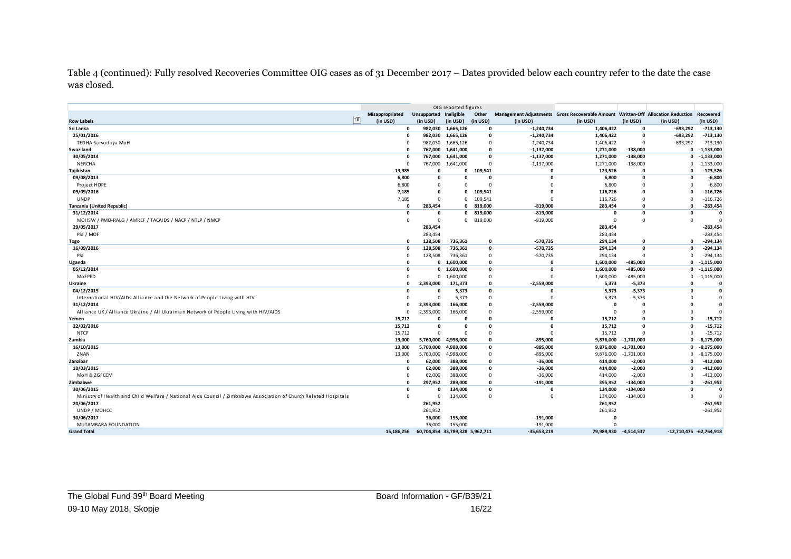Table 4 (continued): Fully resolved Recoveries Committee OIG cases as of 31 December 2017 – Dates provided below each country refer to the date the case was closed.

|                                                                                                                 |                 | OIG reported figures            |                    |                    |                          |                                                                                  |              |                         |                        |
|-----------------------------------------------------------------------------------------------------------------|-----------------|---------------------------------|--------------------|--------------------|--------------------------|----------------------------------------------------------------------------------|--------------|-------------------------|------------------------|
|                                                                                                                 | Misappropriated | Unsupported                     | Ineligible         | Other              |                          | Management Adjustments Gross Recoverable Amount Written-Off Allocation Reduction |              |                         | Recovered              |
| <b>Row Labels</b>                                                                                               | T <br>(in USD)  | (in USD)                        | (in USD)           | (in USD)           | (in USD)                 | (in USD)                                                                         | (in USD)     | (in USD)                | (in USD)               |
| Sri Lanka                                                                                                       |                 |                                 | 982,030 1,665,126  | $\mathbf{o}$       | $-1,240,734$             | 1,406,422                                                                        | $\mathbf{0}$ | $-693,292$              | $-713,130$             |
| 25/01/2016                                                                                                      | $\Omega$        |                                 | 982,030 1,665,126  | $\mathbf{0}$       | $-1,240,734$             | 1,406,422                                                                        | $\mathbf{0}$ | $-693,292$              | $-713,130$             |
| TEDHA Sarvodaya MoH                                                                                             |                 |                                 | 982,030 1,665,126  | $\mathbf 0$        | $-1,240,734$             | 1,406,422                                                                        | $\Omega$     | $-693,292$              | $-713,130$             |
| <b>Swaziland</b>                                                                                                |                 |                                 | 767,000 1,641,000  | $\mathbf{0}$       | $-1,137,000$             | 1,271,000                                                                        | $-138,000$   | $\mathbf{0}$            | $-1,133,000$           |
| 30/05/2014                                                                                                      | $\Omega$        |                                 | 767,000 1,641,000  | $\Omega$           | $-1,137,000$             | 1,271,000                                                                        | $-138,000$   | $\mathbf{0}$            | $-1,133,000$           |
| <b>NERCHA</b>                                                                                                   | $\Omega$        | 767,000                         | 1,641,000          | $\overline{0}$     | $-1,137,000$             | 1,271,000                                                                        | $-138,000$   | $\mathbf{0}$            | $-1,133,000$           |
| Tajikistan                                                                                                      | 13,985          | $\Omega$                        | $\mathbf 0$        | 109,541            | 0                        | 123,526                                                                          | $\Omega$     | $\Omega$                | $-123,526$             |
| 09/08/2013                                                                                                      | 6,800           | $\mathbf{0}$                    | $\Omega$           | $\Omega$           | 0                        | 6,800                                                                            | $\mathbf{0}$ | $\Omega$                | $-6,800$               |
| Project HOPE                                                                                                    | 6,800           | $\Omega$                        | $\Omega$           | $\Omega$           |                          | 6,800                                                                            | $\Omega$     | $\Omega$                | $-6,800$               |
| 09/09/2016                                                                                                      | 7,185           | $\Omega$                        | $\Omega$           | 109,541            | O                        | 116,726                                                                          | $\Omega$     | $\Omega$                | $-116,726$             |
| <b>UNDP</b>                                                                                                     | 7.185           | $\Omega$                        | $\Omega$           | 109,541            | $\Omega$                 | 116,726                                                                          | $\Omega$     | $\Omega$                | $-116,726$             |
| Tanzania (United Republic)                                                                                      | $\Omega$        | 283,454                         | 0                  | 819,000            | $-819,000$               | 283,454                                                                          | $\Omega$     | $\Omega$                | $-283,454$             |
| 31/12/2014                                                                                                      | $\Omega$        | $\mathbf{0}$                    | $\Omega$           | 819,000            | $-819,000$               | $\Omega$                                                                         | $\mathbf{0}$ | $\sqrt{ }$              |                        |
| MOHSW / PMO-RALG / AMREF / TACAIDS / NACP / NTLP / NMCP                                                         | $\Omega$        | $\Omega$                        | $\mathbf 0$        | 819,000            | $-819,000$               | $\Omega$                                                                         | $\Omega$     | $\Omega$                |                        |
| 29/05/2017                                                                                                      |                 | 283,454                         |                    |                    |                          | 283,454                                                                          |              |                         | $-283,454$             |
| PSI / MOF                                                                                                       |                 | 283,454                         |                    |                    |                          | 283,454                                                                          |              |                         | $-283,454$             |
| Togo                                                                                                            | $\Omega$        | 128,508                         | 736,361            | $\mathbf 0$        | $-570,735$               | 294,134                                                                          | $\mathbf{0}$ | $\Omega$                | $-294,134$             |
| 16/09/2016                                                                                                      | $\Omega$        | 128,508                         | 736,361            | $\mathbf 0$        | -570,735                 | 294,134                                                                          | $\mathbf{0}$ | $\Omega$                | $-294,134$             |
| PSI                                                                                                             |                 | 128,508                         | 736,361            | $\mathbf 0$        | $-570,735$               | 294,134                                                                          | $\Omega$     | $\mathbf{0}$            | $-294,134$             |
| Uganda                                                                                                          |                 | $\mathbf{o}$                    | 1,600,000          | $\mathbf 0$        | $\Omega$                 | 1,600,000                                                                        | $-485,000$   | $\mathbf 0$             | $-1,115,000$           |
| 05/12/2014                                                                                                      | $\Omega$        |                                 | 0 1,600,000        | $\mathbf{o}$       | 0                        | 1,600,000                                                                        | $-485,000$   | 0                       | $-1,115,000$           |
| MoFPED                                                                                                          |                 |                                 | 0 1,600,000        | $\mathbf 0$        | $\Omega$                 | 1,600,000                                                                        | -485,000     | $^{\circ}$              | $-1,115,000$           |
| Ukraine                                                                                                         |                 | 2,393,000                       | 171,373            | $\mathbf 0$        | $-2,559,000$             | 5,373                                                                            | $-5,373$     | $\Omega$                | $\Omega$               |
| 04/12/2015                                                                                                      | $\Omega$        | $\Omega$                        | 5,373              | $\mathbf{0}$       | 0                        | 5,373                                                                            | $-5,373$     | $\Omega$                | $\Omega$               |
| International HIV/AIDs Alliance and the Network of People Living with HIV                                       |                 | $\Omega$                        | 5,373              | $\mathbf 0$        | $\Omega$                 | 5,373                                                                            | $-5,373$     |                         |                        |
| 31/12/2014                                                                                                      |                 | 2.393.000                       | 166,000            | $\mathbf{0}$       | $-2,559,000$             | $\mathbf{0}$                                                                     | $\mathbf{0}$ |                         |                        |
| Alliance UK / Alliance Ukraine / All Ukrainian Network of People Living with HIV/AIDS                           |                 | 2,393,000                       | 166,000            | $\mathbf 0$        | $-2,559,000$             | $\Omega$                                                                         | $\Omega$     | $\Omega$                |                        |
| Yemen                                                                                                           | 15,712          | $\Omega$                        | $\mathbf{0}$       | $\mathbf 0$        | 0                        | 15,712                                                                           | $\Omega$     | $\sqrt{ }$              | $-15,712$              |
| 22/02/2016                                                                                                      | 15,712          | $\Omega$                        | $\mathbf{0}$       | $\mathbf{0}$       | $\mathbf{0}$             | 15,712                                                                           | $\mathbf{0}$ | $\Omega$                | $-15,712$              |
| <b>NTCP</b>                                                                                                     | 15,712          | $\Omega$                        | $\Omega$           | $\overline{0}$     | $\Omega$                 | 15,712                                                                           | $\Omega$     | $\Omega$                | $-15,712$              |
| Zambia                                                                                                          | 13.000          | 5.760.000                       | 4,998,000          | $\mathbf{0}$       | $-895.000$               | 9,876,000                                                                        | $-1,701,000$ | $\mathbf 0$             | $-8,175,000$           |
| 16/10/2015                                                                                                      | 13,000          | 5,760,000                       | 4,998,000          | $\pmb{\mathsf{o}}$ | $-895,000$               | 9,876,000                                                                        | $-1,701,000$ | $\Omega$                | $-8,175,000$           |
| ZNAN                                                                                                            | 13,000          | 5,760,000                       | 4,998,000          | $\mathbf 0$        | $-895,000$               | 9,876,000                                                                        | $-1,701,000$ | $\mathbf{0}$            | $-8,175,000$           |
| Zanzibar                                                                                                        | $\Omega$        | 62,000                          | 388,000            | $\mathbf{0}$       | $-36,000$                | 414,000                                                                          | $-2,000$     | $\Omega$                | $-412,000$             |
| 10/03/2015                                                                                                      | $\Omega$        | 62,000                          | 388,000            | $\mathbf 0$        | $-36,000$                | 414,000                                                                          | $-2,000$     | $\Omega$                | $-412,000$             |
| MoH & ZGFCCM                                                                                                    | $\Omega$        | 62,000                          | 388,000            | $\mathbf 0$        | $-36,000$                | 414,000                                                                          | $-2,000$     | $\Omega$                | $-412,000$             |
| Zimbabwe                                                                                                        | $\Omega$        | 297,952                         | 289,000            | $\mathbf{0}$       | $-191,000$               | 395,952                                                                          | $-134,000$   | $\Omega$<br>$\sqrt{ }$  | $-261,952$<br>$\Omega$ |
| 30/06/2015                                                                                                      | $\Omega$        | $\mathbf{r}$                    | 134,000            | $\mathbf{0}$       | o<br>$\Omega$            | 134,000                                                                          | $-134,000$   | $\Omega$                |                        |
| Ministry of Health and Child Welfare / National Aids Council / Zimbabwe Association of Church Related Hospitals | $\Omega$        | $\Omega$                        | 134,000            | $\overline{0}$     |                          | 134,000                                                                          | $-134,000$   |                         |                        |
| 20/06/2017                                                                                                      |                 | 261,952                         |                    |                    |                          | 261,952                                                                          |              |                         | $-261,952$             |
| UNDP / MOHCC                                                                                                    |                 | 261,952                         |                    |                    |                          | 261,952<br>$\mathbf{0}$                                                          |              |                         | $-261,952$             |
| 30/06/2017<br>MUTAMBARA FOUNDATION                                                                              |                 | 36,000<br>36,000                | 155,000<br>155,000 |                    | $-191,000$<br>$-191,000$ | $\Omega$                                                                         |              |                         |                        |
| <b>Grand Total</b>                                                                                              | 15.186.256      | 60,704,854 33,789,328 5,962,711 |                    |                    | $-35,653,219$            | 79.989.930                                                                       | $-4.514.537$ | -12,710,475 -62,764,918 |                        |
|                                                                                                                 |                 |                                 |                    |                    |                          |                                                                                  |              |                         |                        |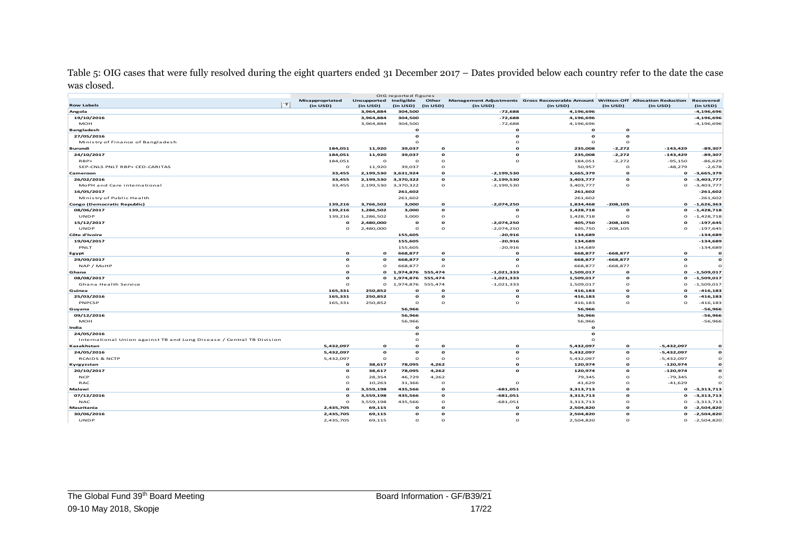Table 5: OIG cases that were fully resolved during the eight quarters ended 31 December 2017 – Dates provided below each country refer to the date the case was closed.

|                                                                       |                       |                        | OIG reported figures     |                          |                          |                                                                                  |                          |                           |                              |
|-----------------------------------------------------------------------|-----------------------|------------------------|--------------------------|--------------------------|--------------------------|----------------------------------------------------------------------------------|--------------------------|---------------------------|------------------------------|
|                                                                       | Misappropriated<br>1T | Unsupported Ineligible |                          | Other                    |                          | Management Adjustments Gross Recoverable Amount Written-Off Allocation Reduction |                          |                           | Recovered                    |
| <b>Row Labels</b>                                                     | (in USD)              | (in USD)               | (in USD)                 | (in USD)                 | (in USD)                 | (in USD)                                                                         | (in USD)                 | (in USD)                  | (in USD)                     |
| Angola                                                                |                       | 3,964,884              | 304,500                  |                          | $-72,688$                | 4,196,696                                                                        |                          |                           | $-4,196,696$                 |
| 19/10/2016<br><b>MOH</b>                                              |                       | 3,964,884              | 304,500                  |                          | $-72,688$                | 4,196,696                                                                        |                          |                           | $-4,196,696$                 |
|                                                                       |                       | 3,964,884              | 304,500                  |                          | $-72,688$                | 4,196,696                                                                        |                          |                           | $-4,196,696$                 |
| <b>Bangladesh</b>                                                     |                       |                        | $\mathbf{o}$<br>$\Omega$ |                          | $\mathbf{o}$<br>$\Omega$ | $\mathbf{o}$<br>$\mathbf{o}$                                                     | $\Omega$<br>$\Omega$     |                           |                              |
| 27/05/2016                                                            |                       |                        |                          |                          |                          |                                                                                  |                          |                           |                              |
| Ministry of Finance of Bangladesh                                     | 184,051               | 11,920                 | $\Omega$                 | $\mathbf{o}$             | $\Omega$<br>$\Omega$     | $\Omega$<br>235,008                                                              | $\Omega$<br>$-2,272$     | $-143,429$                | -89,307                      |
| Burundi                                                               |                       |                        | 39,037                   | $\mathbf{o}$             | $\mathbf{o}$             |                                                                                  |                          |                           |                              |
| 24/10/2017<br>$RBP+$                                                  | 184,051<br>184,051    | 11,920<br>$\circ$      | 39,037<br>$\circ$        | $\circ$                  | $\mathbf{o}$             | 235,008                                                                          | $-2,272$<br>$-2,272$     | $-143,429$<br>$-95,150$   | -89,307<br>$-86,629$         |
|                                                                       |                       |                        |                          | $\circ$                  |                          | 184,051                                                                          | $\Omega$                 |                           | $-2,678$                     |
| SEP-CNLS PNLT RBP+ CED-CARITAS<br>Cameroon                            | $\circ$<br>33,455     | 11,920<br>2,199,530    | 39,037<br>3,631,924      | $\Omega$                 | $-2,199,530$             | 50,957<br>3,665,379                                                              | $\Omega$                 | $-48,279$<br>$\mathbf{o}$ | $-3,665,379$                 |
| 26/02/2016                                                            |                       |                        |                          | $\mathbf{o}$             |                          |                                                                                  | $\mathbf{o}$             | $\mathbf{o}$              |                              |
|                                                                       | 33,455                | 2,199,530              | 3,370,322                | $\Omega$                 | $-2,199,530$             | 3,403,777                                                                        | $\Omega$                 |                           | $-3,403,777$                 |
| MoPH and Care international                                           | 33,455                | 2,199,530              | 3,370,322                |                          | $-2,199,530$             | 3,403,777                                                                        |                          | $\circ$                   | $-3,403,777$                 |
| 16/05/2017                                                            |                       |                        | 261,602                  |                          |                          | 261,602                                                                          |                          |                           | $-261,602$                   |
| Ministry of Public Health                                             |                       |                        | 261,602                  | $\mathbf{o}$             |                          | 261,602                                                                          |                          | $\mathbf{o}$              | $-261,602$                   |
| Congo (Democratic Republic)                                           | 139,216               | 3,766,502              | 3,000                    |                          | $-2,074,250$             | 1,834,468                                                                        | $-208,105$               |                           | $-1,626,363$                 |
| 08/06/2017<br>UNDP                                                    | 139,216               | 1,286,502<br>1,286,502 | 3,000<br>3,000           | $\mathbf{o}$<br>$\Omega$ | $\mathbf{o}$<br>$\Omega$ | 1,428,718                                                                        | $\mathbf{o}$<br>$\Omega$ | $\mathbf{o}$<br>$\circ$   | $-1,428,718$<br>$-1,428,718$ |
|                                                                       | 139,216               |                        |                          |                          |                          | 1,428,718                                                                        |                          |                           |                              |
| 15/12/2017                                                            | $\mathbf{o}$          | 2,480,000              | $\mathbf{o}$<br>$\Omega$ | $\mathbf{o}$<br>$\Omega$ | $-2,074,250$             | 405,750                                                                          | $-208,105$               | Ω<br>$\Omega$             | $-197,645$                   |
| <b>UNDP</b>                                                           | $\circ$               | 2,480,000              |                          |                          | $-2,074,250$             | 405,750                                                                          | $-208,105$               |                           | $-197,645$                   |
| Côte d'Ivoire                                                         |                       |                        | 155,605                  |                          | $-20,916$                | 134,689                                                                          |                          |                           | $-134,689$                   |
| 19/04/2017                                                            |                       |                        | 155,605                  |                          | $-20,916$                | 134,689                                                                          |                          |                           | $-134,689$                   |
| PNLT                                                                  |                       |                        | 155,605                  |                          | $-20,916$                | 134,689                                                                          |                          |                           | $-134,689$                   |
| Egypt                                                                 | $\mathbf{o}$          | $\mathbf{o}$           | 668,877                  | $\mathbf{o}$             | $\mathbf{o}$             | 668,877                                                                          | $-668,877$               | $\mathbf{o}$              | $\mathbf{o}$                 |
| 29/09/2017                                                            | $\Omega$              | $\mathbf{o}$           | 668,877                  | $\mathbf{o}$             | $\mathbf{o}$             | 668,877                                                                          | $-668,877$               | $\mathbf{o}$              | $\Omega$                     |
| NAP / MoHP                                                            | $\Omega$              | $\circ$                | 668,877                  | $\Omega$                 | $\Omega$                 | 668,877                                                                          | $-668,877$               | $\Omega$                  |                              |
| Ghana                                                                 | $\mathbf{o}$          | $\mathbf{o}$           | 1,974,876 555,474        |                          | $-1,021,333$             | 1,509,017                                                                        | $\mathbf{o}$             | $\mathbf{o}$              | $-1,509,017$                 |
| 08/08/2017                                                            | $\Omega$              | $\mathbf{o}$           | 1,974,876 555,474        |                          | $-1,021,333$             | 1,509,017                                                                        | $\mathbf{o}$             | $\mathbf{o}$              | $-1,509,017$                 |
| Ghana Health Service                                                  | $\Omega$              | $\mathbf{o}$           | 1,974,876                | 555,474                  | $-1,021,333$             | 1,509,017                                                                        | $\Omega$                 | $\Omega$                  | $-1,509,017$                 |
| Guinea                                                                | 165,331               | 250,852                | $\Omega$                 | $\Omega$                 | $\mathbf{o}$             | 416,183                                                                          | $\Omega$                 | $\mathbf{o}$              | $-416, 183$                  |
| 25/03/2016                                                            | 165,331               | 250,852                | $\mathbf{o}$             | $\mathbf{o}$             | $\mathbf{o}$             | 416,183                                                                          | $\mathbf{o}$             | $\mathbf{o}$              | $-416, 183$                  |
| PNPCSP                                                                | 165,331               | 250,852                | $\circ$                  | $\circ$                  | $\circ$                  | 416,183                                                                          | $\circ$                  | $\circ$                   | $-416,183$                   |
| Guyana                                                                |                       |                        | 56,966                   |                          |                          | 56,966                                                                           |                          |                           | -56,966                      |
| 09/12/2016                                                            |                       |                        | 56,966                   |                          |                          | 56,966                                                                           |                          |                           | -56,966                      |
| <b>MOH</b>                                                            |                       |                        | 56,966                   |                          |                          | 56,966                                                                           |                          |                           | $-56,966$                    |
| India                                                                 |                       |                        | $\Omega$                 |                          |                          | $\Omega$                                                                         |                          |                           |                              |
| 24/05/2016                                                            |                       |                        | $\Omega$                 |                          |                          | $\Omega$                                                                         |                          |                           |                              |
| International Union against TB and Lung Disease / Central TB Division |                       |                        | $\Omega$                 |                          |                          | $\Omega$                                                                         |                          |                           |                              |
| Kazakhstan                                                            | 5,432,097             | $\mathbf{o}$           | $\Omega$                 | $\mathbf{o}$             | $\Omega$                 | 5,432,097                                                                        | $\Omega$                 | $-5,432,097$              |                              |
| 24/05/2016                                                            | 5,432,097             | $\circ$                | $\Omega$                 | $\mathbf{o}$             | $\mathbf{o}$             | 5,432,097                                                                        | $\mathbf{o}$             | $-5,432,097$              |                              |
| <b>RCAIDS &amp; NCTP</b>                                              | 5,432,097             | $\circ$                | $\circ$                  | $\circ$                  | $\circ$                  | 5,432,097                                                                        | $\Omega$                 | $-5,432,097$              |                              |
| Kyrgyzstan                                                            | $\mathbf{o}$          | 38,617                 | 78,095                   | 4,262                    | $\mathbf{o}$             | 120,974                                                                          | $\mathbf{o}$             | $-120,974$                |                              |
| 20/10/2017                                                            | $\mathbf{o}$          | 38,617                 | 78,095                   | 4,262                    | $\mathbf{o}$             | 120,974                                                                          | $\Omega$                 | $-120,974$                |                              |
| <b>NCP</b>                                                            | $\Omega$              | 28,354                 | 46,729                   | 4,262                    |                          | 79,345                                                                           | $\Omega$                 | $-79,345$                 |                              |
| RAC                                                                   | $\Omega$              | 10,263                 | 31,366                   | $\circ$                  | $\circ$                  | 41,629                                                                           | $\Omega$                 | $-41,629$                 |                              |
| Malawi                                                                | $\mathbf{o}$          | 3,559,198              | 435,566                  | $\mathbf{o}$             | $-681,051$               | 3,313,713                                                                        | $\mathbf{o}$             | $\mathbf{o}$              | $-3,313,713$                 |
| 07/12/2016                                                            | $\mathbf{o}$          | 3,559,198              | 435,566                  | $\mathbf{o}$             | $-681,051$               | 3,313,713                                                                        | $\mathbf{o}$             | $\mathbf{o}$              | $-3,313,713$                 |
| <b>NAC</b>                                                            | $\circ$               | 3,559,198              | 435,566                  | $\circ$                  | $-681,051$               | 3,313,713                                                                        | $\circ$                  | $\circ$                   | $-3,313,713$                 |
| Mauritania                                                            | 2,435,705             | 69,115                 | $\Omega$                 | $\Omega$                 | $\circ$                  | 2,504,820                                                                        | $\Omega$                 | o                         | $-2,504,820$                 |
| 30/06/2016                                                            | 2,435,705             | 69,115                 | $\mathbf{o}$             | $\mathbf{o}$             | $\mathbf{o}$             | 2,504,820                                                                        | $\mathbf{o}$             | $\mathbf{o}$              | $-2,504,820$                 |
| <b>UNDP</b>                                                           | 2,435,705             | 69,115                 | $\Omega$                 | $\Omega$                 | $\Omega$                 | 2,504,820                                                                        | $\Omega$                 | $\circ$                   | $-2,504,820$                 |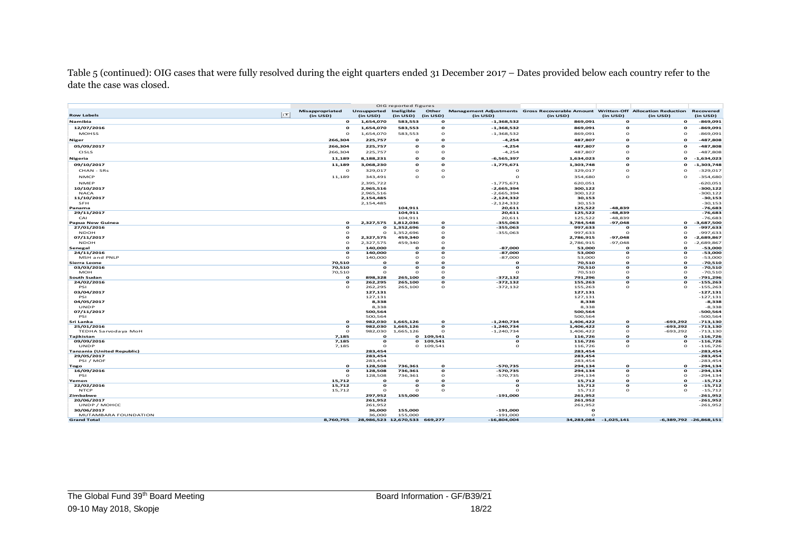Table 5 (continued): OIG cases that were fully resolved during the eight quarters ended 31 December 2017 – Dates provided below each country refer to the date the case was closed.

|                                    |                       |                       | OIG reported figures |                     |                             |                                                                                  |                       |                     |                            |
|------------------------------------|-----------------------|-----------------------|----------------------|---------------------|-----------------------------|----------------------------------------------------------------------------------|-----------------------|---------------------|----------------------------|
|                                    | Misappropriated<br>1T | Unsupported           | Ineligible           | Other               |                             | Management Adjustments Gross Recoverable Amount Written-Off Allocation Reduction |                       |                     | Recovered                  |
| <b>Row Labels</b>                  | (in USD)              | (in USD)              | (in USD)             | (in USD)            | (in USD)                    | (in USD)                                                                         | (in USD)              | (in USD)            | (in USD)                   |
| Namibia                            | $\mathbf{o}$          | 1,654,070             | 583,553              | $\Omega$            | $-1,368,532$                | 869,091                                                                          | $\mathbf{o}$          | $\mathbf{o}$        | $-869,091$                 |
| 12/07/2016                         | $\Omega$              | 1,654,070             | 583,553              | $\mathbf{o}$        | $-1,368,532$                | 869,091                                                                          | $\mathbf{o}$          | $\mathbf{o}$        | $-869,091$                 |
| <b>MOHSS</b>                       | $\Omega$              | 1,654,070             | 583,553              | $\circ$             | $-1,368,532$                | 869,091                                                                          | $\circ$               | $\mathbf{o}$        | $-869,091$                 |
| Niger                              | 266,304               | 225,757               | $\Omega$             | $\mathbf{o}$        | $-4,254$                    | 487,807                                                                          | $\Omega$              | $\mathbf{o}$        | -487,808                   |
| 05/09/2017                         | 266,304               | 225,757               | $\mathbf{o}$         | $\Omega$            | $-4,254$                    | 487,807                                                                          | $\mathbf{o}$          | $\mathbf o$         | -487,808                   |
| <b>CISLS</b>                       | 266,304               | 225,757               | $\circ$              | $\circ$             | $-4,254$                    | 487,807                                                                          | $\circ$               | $\Omega$            | $-487,808$                 |
| <b>Nigeria</b>                     | 11,189                | 8,188,231             | $\Omega$             | $\Omega$            | $-6,565,397$                | 1,634,023                                                                        | $\Omega$              | $\mathbf{o}$        | $-1,634,023$               |
| 09/10/2017                         |                       |                       | $\Omega$             | $\mathbf{o}$        | $-1,775,671$                |                                                                                  | $\mathbf{o}$          | $\mathbf{o}$        | $-1,303,748$               |
|                                    | 11,189                | 3,068,230             |                      |                     |                             | 1,303,748                                                                        |                       |                     |                            |
| CHAN - SRs                         | $\circ$               | 329,017               | $\circ$              | $\circ$             | $\circ$                     | 329,017                                                                          | $\circ$               | $\circ$             | $-329,017$                 |
| <b>NMCP</b>                        | 11,189                | 343,491               | $\Omega$             | $\Omega$            | $\Omega$                    | 354,680                                                                          | $\circ$               | $\Omega$            | $-354,680$                 |
| <b>NMEP</b>                        |                       | 2,395,722             |                      |                     | $-1,775,671$                | 620,051                                                                          |                       |                     | $-620,051$                 |
| 10/10/2017                         |                       | 2,965,516             |                      |                     | $-2,665,394$                | 300,122                                                                          |                       |                     | $-300,122$                 |
| <b>NACA</b>                        |                       | 2,965,516             |                      |                     | $-2,665,394$                | 300,122                                                                          |                       |                     | $-300, 122$                |
| 11/10/2017                         |                       | 2,154,485             |                      |                     | $-2,124,332$                | 30,153                                                                           |                       |                     | $-30,153$                  |
| <b>SFH</b><br>Panama               |                       | 2,154,485             | 104.911              |                     | $-2,124,332$<br>20,611      | 30,153<br>125,522                                                                | $-48.839$             |                     | $-30,153$<br>$-76,683$     |
| 29/11/2017                         |                       |                       | 104,911              |                     | 20,611                      | 125,522                                                                          | $-48,839$             |                     | $-76,683$                  |
| CAI                                |                       |                       | 104,911              |                     | 20,611                      | 125,522                                                                          | $-48,839$             |                     | $-76,683$                  |
| Papua New Guinea                   | $\mathbf{o}$          | 2,327,575             | 1,812,036            | $\mathbf{o}$        | $-355,063$                  | 3,784,548                                                                        | $-97,048$             | $\mathbf{o}$        | $-3,687,500$               |
| 27/01/2016                         | $\mathbf{o}$          | $\mathbf{o}$          | 1,352,696            | $\mathbf{o}$        | $-355,063$                  | 997,633                                                                          | $\Omega$              | $\mathbf{o}$        | -997,633                   |
| <b>NDOH</b>                        | $\Omega$              | $\circ$               | 1,352,696            | $\circ$             | $-355,063$                  | 997,633                                                                          | $\Omega$              | $\mathbf{o}$        | $-997,633$                 |
| 07/11/2017                         | $\Omega$              | 2,327,575             | 459,340              | $\Omega$            |                             | 2,786,915                                                                        | $-97,048$             | $\mathbf{o}$        | -2,689,867                 |
| <b>NDOH</b>                        | $\Omega$              | 2,327,575             | 459,340              | $\Omega$            |                             | 2,786,915                                                                        | $-97,048$             | $\Omega$            | $-2,689,867$               |
| Senegal                            | Ω                     | 140,000               | Ω                    | $\Omega$            | $-87,000$                   | 53,000                                                                           | $\Omega$              | $\mathbf{o}$        | $-53,000$                  |
| 24/11/2016                         | $\mathbf{o}$          | 140,000               | $\mathbf{o}$         | $\Omega$            | $-87,000$                   | 53,000                                                                           | $\Omega$              | $\mathbf{o}$        | $-53,000$                  |
| MSH and PNLP                       | $\circ$               | 140,000<br>$\Omega$   | $\circ$<br>o         | $\circ$<br>$\Omega$ | $-87,000$<br>$\Omega$       | 53,000                                                                           | $\circ$<br>$\Omega$   | $\circ$<br>$\Omega$ | $-53,000$                  |
| Sierra Leone<br>03/03/2016         | 70,510<br>70,510      | $\mathbf{o}$          | $\Omega$             | $\Omega$            | $\mathbf{o}$                | 70,510<br>70,510                                                                 | $\Omega$              | $\mathbf{o}$        | $-70,510$<br>$-70,510$     |
| <b>MOH</b>                         | 70,510                | $\Omega$              | $\Omega$             | $\Omega$            | $\Omega$                    | 70,510                                                                           | $\Omega$              | $\Omega$            | $-70,510$                  |
| South Sudan                        | $\Omega$              | 898,328               | 265,100              | $\Omega$            | $-372,132$                  | 791,296                                                                          | $\Omega$              | $\Omega$            | -791,296                   |
| 24/02/2016                         | $\mathbf{o}$          | 262,295               | 265,100              | $\mathbf{o}$        | $-372,132$                  | 155,263                                                                          | $\Omega$              | $\mathbf{o}$        | $-155,263$                 |
| PSI                                | $\Omega$              | 262,295               | 265,100              | $\circ$             | $-372,132$                  | 155,263                                                                          | $\Omega$              | $\Omega$            | $-155,263$                 |
| 03/04/2017                         |                       | 127,131               |                      |                     |                             | 127,131                                                                          |                       |                     | $-127,131$                 |
| PSI                                |                       | 127,131               |                      |                     |                             | 127,131                                                                          |                       |                     | $-127,131$                 |
| 04/05/2017                         |                       | 8,338                 |                      |                     |                             | 8,338                                                                            |                       |                     | $-8,338$                   |
| <b>UNDP</b>                        |                       | 8,338                 |                      |                     |                             | 8,338                                                                            |                       |                     | $-8,338$                   |
| 07/11/2017<br>PSI                  |                       | 500,564<br>500,564    |                      |                     |                             | 500,564<br>500,564                                                               |                       |                     | -500,564<br>$-500,564$     |
| Sri Lanka                          | $\Omega$              | 982,030               | 1,665,126            | $\mathbf{o}$        | $-1,240,734$                | 1,406,422                                                                        | $\mathbf{o}$          | $-693,292$          | $-713,130$                 |
| 25/01/2016                         | $\Omega$              | 982,030               | 1,665,126            | $\mathbf{o}$        | $-1,240,734$                | 1,406,422                                                                        | $\Omega$              | $-693,292$          | $-713,130$                 |
| TEDHA Sarvodaya MoH                | $\Omega$              | 982,030               | 1,665,126            | $\Omega$            | $-1,240,734$                | 1,406,422                                                                        | $\circ$               | $-693,292$          | $-713,130$                 |
| <b>Taiikistan</b>                  | 7.185                 | $\mathbf{o}$          |                      | 0 109.541           | $\mathbf{o}$                | 116,726                                                                          | $\mathbf{o}$          | $\mathbf{o}$        | $-116,726$                 |
| 09/09/2016                         | 7,185                 | $\mathbf{o}$          |                      | 0 109,541           | $\mathbf{o}$                | 116,726                                                                          | $\mathbf{o}$          | $\mathbf{o}$        | $-116,726$                 |
| UNDP                               | 7,185                 | $\Omega$              |                      | 0 109,541           | $\Omega$                    | 116,726                                                                          | $\circ$               | $\circ$             | $-116,726$                 |
| <b>Tanzania (United Republic)</b>  |                       | 283,454               |                      |                     |                             | 283,454                                                                          |                       |                     | $-283,454$                 |
| 29/05/2017                         |                       | 283,454               |                      |                     |                             | 283,454                                                                          |                       |                     | $-283,454$                 |
| PSI / MOF                          | $\Omega$              | 283,454               | 736,361              | $\Omega$            | $-570,735$                  | 283,454<br>294,134                                                               | $\Omega$              | $\mathbf{o}$        | $-283,454$<br>$-294, 134$  |
| Togo<br>16/09/2016                 | $\mathbf{o}$          | 128,508<br>128,508    | 736,361              | $\mathbf{o}$        | $-570,735$                  | 294,134                                                                          | $\mathbf{o}$          | $\mathbf{o}$        | $-294,134$                 |
| PSI                                | $\circ$               | 128,508               | 736,361              | $\circ$             | $-570,735$                  | 294,134                                                                          | $\Omega$              | $\Omega$            | $-294,134$                 |
| Yemen                              | 15,712                | $\Omega$              | $\Omega$             | $\Omega$            | $\Omega$                    | 15,712                                                                           | $\Omega$              | $\Omega$            | $-15,712$                  |
| 22/02/2016                         | 15,712                | $\mathbf{o}$          | $\mathbf{o}$         | $\mathbf{o}$        | $\mathbf{o}$                | 15,712                                                                           | $\mathbf{o}$          | $\mathbf{o}$        | $-15,712$                  |
| <b>NTCP</b>                        | 15,712                | $\circ$               | $\Omega$             | $\circ$             | $\Omega$                    | 15,712                                                                           | $\circ$               | $\circ$             | $-15,712$                  |
| Zimbabwe                           |                       | 297,952               | 155,000              |                     | $-191,000$                  | 261,952                                                                          |                       |                     | $-261,952$                 |
| 20/06/2017                         |                       | 261,952               |                      |                     |                             | 261,952                                                                          |                       |                     | $-261,952$                 |
| UNDP / MOHCC                       |                       | 261,952               |                      |                     |                             | 261,952                                                                          |                       |                     | $-261,952$                 |
| 30/06/2017<br>MUTAMBARA FOUNDATION |                       | 36,000<br>36,000      | 155,000<br>155,000   |                     | $-191,000$                  | Ω<br>$\Omega$                                                                    |                       |                     |                            |
| <b>Grand Total</b>                 | 8,760,755             | 28,986,523 12,670,533 |                      | 669,277             | $-191,000$<br>$-16,804,004$ |                                                                                  | 34,283,084 -1,025,141 |                     | $-6,389,792$ $-26,868,151$ |
|                                    |                       |                       |                      |                     |                             |                                                                                  |                       |                     |                            |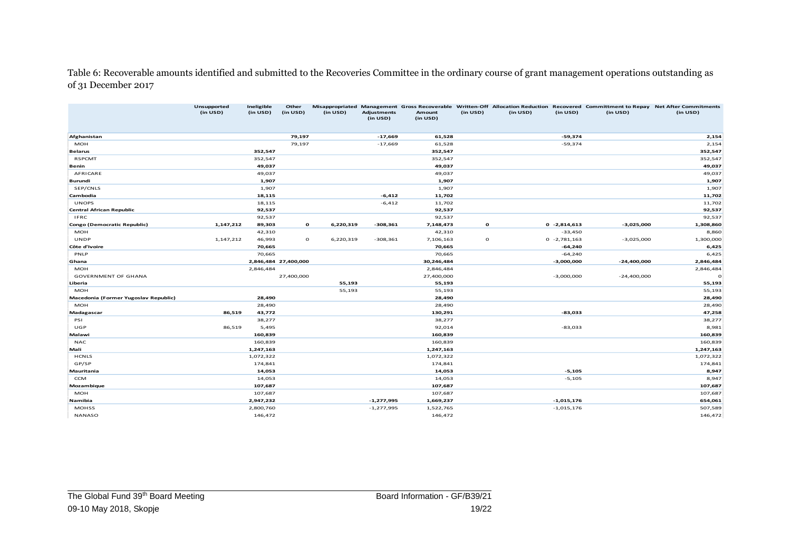Table 6: Recoverable amounts identified and submitted to the Recoveries Committee in the ordinary course of grant management operations outstanding as of 31 December 2017

|                                         | Unsupported<br>(in USD) | Ineligible<br>(in USD) | Other<br>(in USD)    | (in USD)  | <b>Adjustments</b><br>(in USD) | Amount<br>(in USD) | (in USD)     | (in USD) | (in USD)       | (in USD)      | Misappropriated Management Gross Recoverable Written-Off Allocation Reduction Recovered Committment to Repay Net After Commitments<br>(in USD) |
|-----------------------------------------|-------------------------|------------------------|----------------------|-----------|--------------------------------|--------------------|--------------|----------|----------------|---------------|------------------------------------------------------------------------------------------------------------------------------------------------|
|                                         |                         |                        |                      |           |                                |                    |              |          |                |               |                                                                                                                                                |
| Afghanistan                             |                         |                        | 79,197               |           | $-17,669$                      | 61,528             |              |          | $-59,374$      |               | 2,154                                                                                                                                          |
| MOH                                     |                         |                        | 79,197               |           | $-17,669$                      | 61,528             |              |          | $-59,374$      |               | 2,154                                                                                                                                          |
| <b>Belarus</b>                          |                         | 352,547                |                      |           |                                | 352,547            |              |          |                |               | 352,547                                                                                                                                        |
| <b>RSPCMT</b>                           |                         | 352,547                |                      |           |                                | 352,547            |              |          |                |               | 352,547                                                                                                                                        |
| Benin                                   |                         | 49,037                 |                      |           |                                | 49,037             |              |          |                |               | 49,037                                                                                                                                         |
| AFRICARE                                |                         | 49,037                 |                      |           |                                | 49,037             |              |          |                |               | 49,037                                                                                                                                         |
| Burundi<br>SEP/CNLS                     |                         | 1,907<br>1,907         |                      |           |                                | 1,907              |              |          |                |               | 1,907<br>1,907                                                                                                                                 |
|                                         |                         |                        |                      |           | $-6,412$                       | 1,907<br>11,702    |              |          |                |               |                                                                                                                                                |
| Cambodia<br><b>UNOPS</b>                |                         | 18,115                 |                      |           | $-6,412$                       |                    |              |          |                |               | 11,702                                                                                                                                         |
|                                         |                         | 18,115<br>92,537       |                      |           |                                | 11,702<br>92,537   |              |          |                |               | 11,702<br>92,537                                                                                                                               |
| Central African Republic<br><b>IFRC</b> |                         | 92,537                 |                      |           |                                | 92,537             |              |          |                |               | 92,537                                                                                                                                         |
| Congo (Democratic Republic)             | 1,147,212               | 89,303                 | $\mathbf{o}$         | 6,220,319 | $-308,361$                     | 7,148,473          | $\mathbf{o}$ |          | $0 -2,814,613$ | $-3,025,000$  | 1,308,860                                                                                                                                      |
| <b>MOH</b>                              |                         | 42,310                 |                      |           |                                | 42,310             |              |          | $-33,450$      |               | 8,860                                                                                                                                          |
| <b>UNDP</b>                             | 1,147,212               | 46,993                 | $\circ$              | 6,220,319 | $-308,361$                     | 7,106,163          | $\mathbf{o}$ |          | $0 -2,781,163$ | $-3,025,000$  | 1,300,000                                                                                                                                      |
| Côte d'Ivoire                           |                         | 70,665                 |                      |           |                                | 70,665             |              |          | $-64,240$      |               | 6,425                                                                                                                                          |
| PNLP                                    |                         | 70,665                 |                      |           |                                | 70,665             |              |          | $-64,240$      |               | 6,425                                                                                                                                          |
| Ghana                                   |                         |                        | 2,846,484 27,400,000 |           |                                | 30,246,484         |              |          | $-3,000,000$   | $-24,400,000$ | 2,846,484                                                                                                                                      |
| <b>MOH</b>                              |                         | 2,846,484              |                      |           |                                | 2,846,484          |              |          |                |               | 2,846,484                                                                                                                                      |
| <b>GOVERNMENT OF GHANA</b>              |                         |                        | 27,400,000           |           |                                | 27,400,000         |              |          | $-3,000,000$   | $-24,400,000$ |                                                                                                                                                |
| Liberia                                 |                         |                        |                      | 55,193    |                                | 55,193             |              |          |                |               | 55,193                                                                                                                                         |
| MOH                                     |                         |                        |                      | 55,193    |                                | 55,193             |              |          |                |               | 55,193                                                                                                                                         |
| Macedonia (Former Yugoslav Republic)    |                         | 28,490                 |                      |           |                                | 28,490             |              |          |                |               | 28,490                                                                                                                                         |
| MOH                                     |                         | 28,490                 |                      |           |                                | 28,490             |              |          |                |               | 28,490                                                                                                                                         |
| Madagascar                              | 86,519                  | 43,772                 |                      |           |                                | 130,291            |              |          | $-83,033$      |               | 47,258                                                                                                                                         |
| PSI                                     |                         | 38,277                 |                      |           |                                | 38,277             |              |          |                |               | 38,277                                                                                                                                         |
| UGP                                     | 86,519                  | 5,495                  |                      |           |                                | 92,014             |              |          | $-83,033$      |               | 8,981                                                                                                                                          |
| Malawi                                  |                         | 160,839                |                      |           |                                | 160,839            |              |          |                |               | 160,839                                                                                                                                        |
| <b>NAC</b>                              |                         | 160,839                |                      |           |                                | 160,839            |              |          |                |               | 160,839                                                                                                                                        |
| Mali                                    |                         | 1,247,163              |                      |           |                                | 1,247,163          |              |          |                |               | 1,247,163                                                                                                                                      |
| <b>HCNLS</b>                            |                         | 1,072,322              |                      |           |                                | 1,072,322          |              |          |                |               | 1,072,322                                                                                                                                      |
| GP/SP                                   |                         | 174,841                |                      |           |                                | 174,841            |              |          |                |               | 174,841                                                                                                                                        |
| Mauritania                              |                         | 14,053                 |                      |           |                                | 14,053             |              |          | $-5,105$       |               | 8,947                                                                                                                                          |
| <b>CCM</b>                              |                         | 14,053                 |                      |           |                                | 14,053             |              |          | $-5,105$       |               | 8,947                                                                                                                                          |
| Mozambique                              |                         | 107,687                |                      |           |                                | 107,687            |              |          |                |               | 107,687                                                                                                                                        |
| MOH                                     |                         | 107,687                |                      |           |                                | 107,687            |              |          |                |               | 107,687                                                                                                                                        |
| Namibia                                 |                         | 2,947,232              |                      |           | $-1,277,995$                   | 1,669,237          |              |          | $-1,015,176$   |               | 654,061                                                                                                                                        |
| <b>MOHSS</b>                            |                         | 2,800,760              |                      |           | $-1,277,995$                   | 1,522,765          |              |          | $-1,015,176$   |               | 507,589                                                                                                                                        |
| <b>NANASO</b>                           |                         | 146,472                |                      |           |                                | 146,472            |              |          |                |               | 146,472                                                                                                                                        |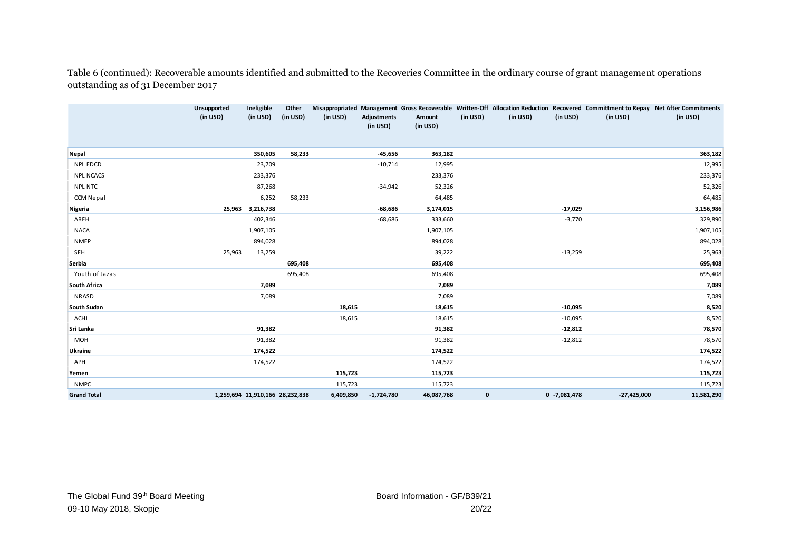Table 6 (continued): Recoverable amounts identified and submitted to the Recoveries Committee in the ordinary course of grant management operations outstanding as of 31 December 2017

|                    | Unsupported<br>(in USD)         | Ineligible<br>(in USD) | Other<br>(in USD) | (in USD)  | Adjustments<br>(in USD) | Amount<br>(in USD) | (in USD)    | (in USD) | (in USD)        | (in USD)      | Misappropriated Management Gross Recoverable Written-Off Allocation Reduction Recovered Committment to Repay Net After Commitments<br>(in USD) |
|--------------------|---------------------------------|------------------------|-------------------|-----------|-------------------------|--------------------|-------------|----------|-----------------|---------------|------------------------------------------------------------------------------------------------------------------------------------------------|
| Nepal              |                                 | 350,605                | 58,233            |           | $-45,656$               | 363,182            |             |          |                 |               | 363,182                                                                                                                                        |
| NPL EDCD           |                                 | 23,709                 |                   |           | $-10,714$               | 12,995             |             |          |                 |               | 12,995                                                                                                                                         |
| <b>NPL NCACS</b>   |                                 | 233,376                |                   |           |                         | 233,376            |             |          |                 |               | 233,376                                                                                                                                        |
| NPL NTC            |                                 | 87,268                 |                   |           | $-34,942$               | 52,326             |             |          |                 |               | 52,326                                                                                                                                         |
| CCM Nepal          |                                 | 6,252                  | 58,233            |           |                         | 64,485             |             |          |                 |               | 64,485                                                                                                                                         |
| Nigeria            | 25,963                          | 3,216,738              |                   |           | $-68,686$               | 3,174,015          |             |          | $-17,029$       |               | 3,156,986                                                                                                                                      |
| ARFH               |                                 | 402,346                |                   |           | $-68,686$               | 333,660            |             |          | $-3,770$        |               | 329,890                                                                                                                                        |
| <b>NACA</b>        |                                 | 1,907,105              |                   |           |                         | 1,907,105          |             |          |                 |               | 1,907,105                                                                                                                                      |
| <b>NMEP</b>        |                                 | 894,028                |                   |           |                         | 894,028            |             |          |                 |               | 894,028                                                                                                                                        |
| SFH                | 25,963                          | 13,259                 |                   |           |                         | 39,222             |             |          | $-13,259$       |               | 25,963                                                                                                                                         |
| Serbia             |                                 |                        | 695,408           |           |                         | 695,408            |             |          |                 |               | 695,408                                                                                                                                        |
| Youth of Jazas     |                                 |                        | 695,408           |           |                         | 695,408            |             |          |                 |               | 695,408                                                                                                                                        |
| South Africa       |                                 | 7,089                  |                   |           |                         | 7,089              |             |          |                 |               | 7,089                                                                                                                                          |
| <b>NRASD</b>       |                                 | 7,089                  |                   |           |                         | 7,089              |             |          |                 |               | 7,089                                                                                                                                          |
| South Sudan        |                                 |                        |                   | 18,615    |                         | 18,615             |             |          | $-10,095$       |               | 8,520                                                                                                                                          |
| ACHI               |                                 |                        |                   | 18,615    |                         | 18,615             |             |          | $-10,095$       |               | 8,520                                                                                                                                          |
| Sri Lanka          |                                 | 91,382                 |                   |           |                         | 91,382             |             |          | $-12,812$       |               | 78,570                                                                                                                                         |
| MOH                |                                 | 91,382                 |                   |           |                         | 91,382             |             |          | $-12,812$       |               | 78,570                                                                                                                                         |
| Ukraine            |                                 | 174,522                |                   |           |                         | 174,522            |             |          |                 |               | 174,522                                                                                                                                        |
| APH                |                                 | 174,522                |                   |           |                         | 174,522            |             |          |                 |               | 174,522                                                                                                                                        |
| Yemen              |                                 |                        |                   | 115,723   |                         | 115,723            |             |          |                 |               | 115,723                                                                                                                                        |
| <b>NMPC</b>        |                                 |                        |                   | 115,723   |                         | 115,723            |             |          |                 |               | 115,723                                                                                                                                        |
| <b>Grand Total</b> | 1,259,694 11,910,166 28,232,838 |                        |                   | 6,409,850 | $-1,724,780$            | 46,087,768         | $\mathbf 0$ |          | $0 - 7,081,478$ | $-27,425,000$ | 11,581,290                                                                                                                                     |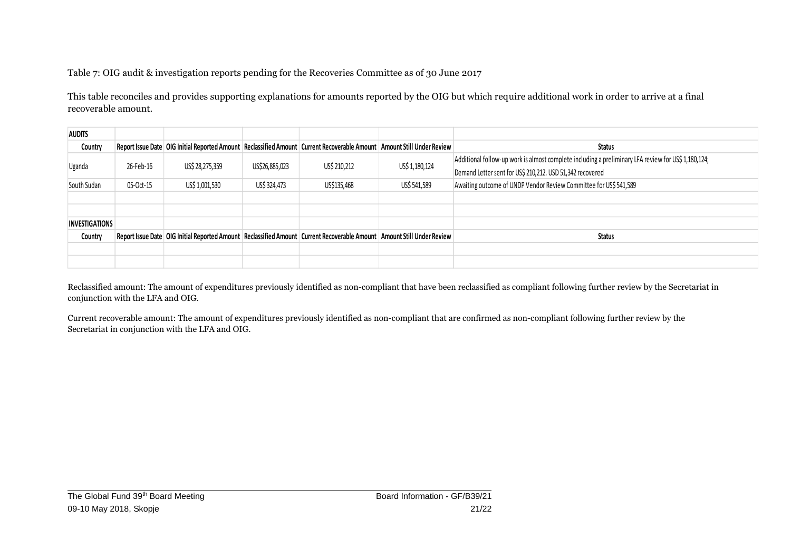Table 7: OIG audit & investigation reports pending for the Recoveries Committee as of 30 June 2017

This table reconciles and provides supporting explanations for amounts reported by the OIG but which require additional work in order to arrive at a final recoverable amount.

| <b>AUDITS</b>         |           |                 |                |                                                                                                                                |                |                                                                                                     |
|-----------------------|-----------|-----------------|----------------|--------------------------------------------------------------------------------------------------------------------------------|----------------|-----------------------------------------------------------------------------------------------------|
| Country               |           |                 |                | Report Issue Date   OIG Initial Reported Amount   Reclassified Amount   Current Recoverable Amount   Amount Still Under Review |                | <b>Status</b>                                                                                       |
| Uganda                | 26-Feb-16 | US\$ 28,275,359 | US\$26,885,023 | US\$ 210,212                                                                                                                   | US\$ 1,180,124 | Additional follow-up work is almost complete including a preliminary LFA review for US\$ 1,180,124; |
|                       |           |                 |                |                                                                                                                                |                | Demand Letter sent for US\$ 210,212. USD 51,342 recovered                                           |
| South Sudan           | 05-Oct-15 | US\$ 1,001,530  | US\$ 324,473   | US\$135,468                                                                                                                    | US\$ 541,589   | Awaiting outcome of UNDP Vendor Review Committee for US\$ 541,589                                   |
|                       |           |                 |                |                                                                                                                                |                |                                                                                                     |
|                       |           |                 |                |                                                                                                                                |                |                                                                                                     |
| <b>INVESTIGATIONS</b> |           |                 |                |                                                                                                                                |                |                                                                                                     |
| Country               |           |                 |                | Report Issue Date   OIG Initial Reported Amount   Reclassified Amount   Current Recoverable Amount   Amount Still Under Review |                | <b>Status</b>                                                                                       |
|                       |           |                 |                |                                                                                                                                |                |                                                                                                     |
|                       |           |                 |                |                                                                                                                                |                |                                                                                                     |

Reclassified amount: The amount of expenditures previously identified as non-compliant that have been reclassified as compliant following further review by the Secretariat in conjunction with the LFA and OIG.

Current recoverable amount: The amount of expenditures previously identified as non-compliant that are confirmed as non-compliant following further review by the Secretariat in conjunction with the LFA and OIG.